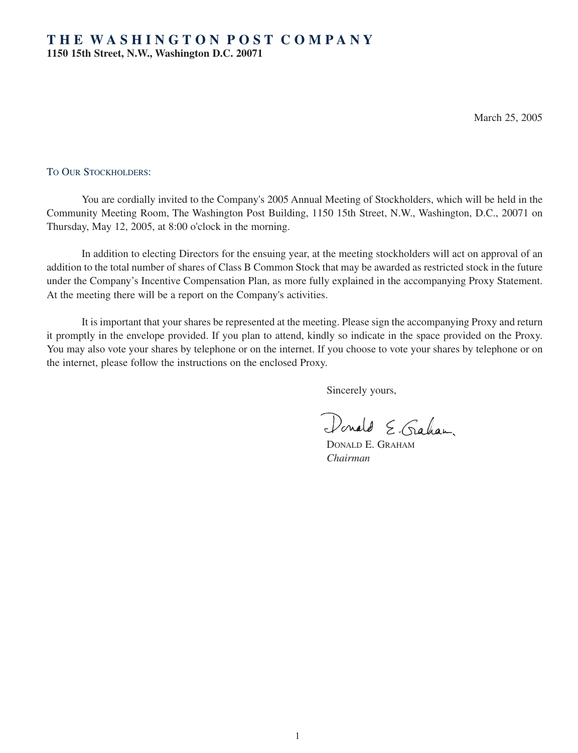March 25, 2005

### TO OUR STOCKHOLDERS:

You are cordially invited to the Company's 2005 Annual Meeting of Stockholders, which will be held in the Community Meeting Room, The Washington Post Building, 1150 15th Street, N.W., Washington, D.C., 20071 on Thursday, May 12, 2005, at 8:00 o'clock in the morning.

In addition to electing Directors for the ensuing year, at the meeting stockholders will act on approval of an addition to the total number of shares of Class B Common Stock that may be awarded as restricted stock in the future under the Company's Incentive Compensation Plan, as more fully explained in the accompanying Proxy Statement. At the meeting there will be a report on the Company's activities.

It is important that your shares be represented at the meeting. Please sign the accompanying Proxy and return it promptly in the envelope provided. If you plan to attend, kindly so indicate in the space provided on the Proxy. You may also vote your shares by telephone or on the internet. If you choose to vote your shares by telephone or on the internet, please follow the instructions on the enclosed Proxy.

Sincerely yours,

Donald E. Graham

DONALD E. GRAHAM *Chairman*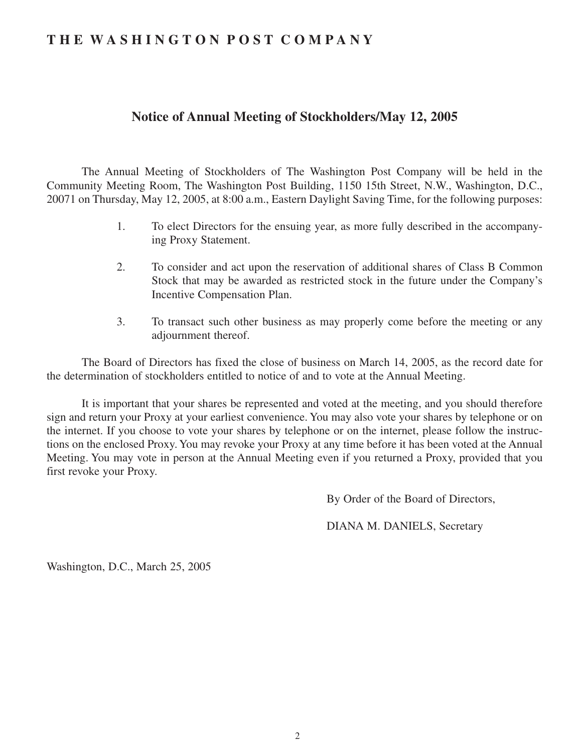# **T H E W A S H I N G T O N P O S T C O M P A N Y**

# **Notice of Annual Meeting of Stockholders/May 12, 2005**

The Annual Meeting of Stockholders of The Washington Post Company will be held in the Community Meeting Room, The Washington Post Building, 1150 15th Street, N.W., Washington, D.C., 20071 on Thursday, May 12, 2005, at 8:00 a.m., Eastern Daylight Saving Time, for the following purposes:

- 1. To elect Directors for the ensuing year, as more fully described in the accompanying Proxy Statement.
- 2. To consider and act upon the reservation of additional shares of Class B Common Stock that may be awarded as restricted stock in the future under the Company's Incentive Compensation Plan.
- 3. To transact such other business as may properly come before the meeting or any adjournment thereof.

The Board of Directors has fixed the close of business on March 14, 2005, as the record date for the determination of stockholders entitled to notice of and to vote at the Annual Meeting.

It is important that your shares be represented and voted at the meeting, and you should therefore sign and return your Proxy at your earliest convenience. You may also vote your shares by telephone or on the internet. If you choose to vote your shares by telephone or on the internet, please follow the instructions on the enclosed Proxy. You may revoke your Proxy at any time before it has been voted at the Annual Meeting. You may vote in person at the Annual Meeting even if you returned a Proxy, provided that you first revoke your Proxy.

By Order of the Board of Directors,

DIANA M. DANIELS, Secretary

Washington, D.C., March 25, 2005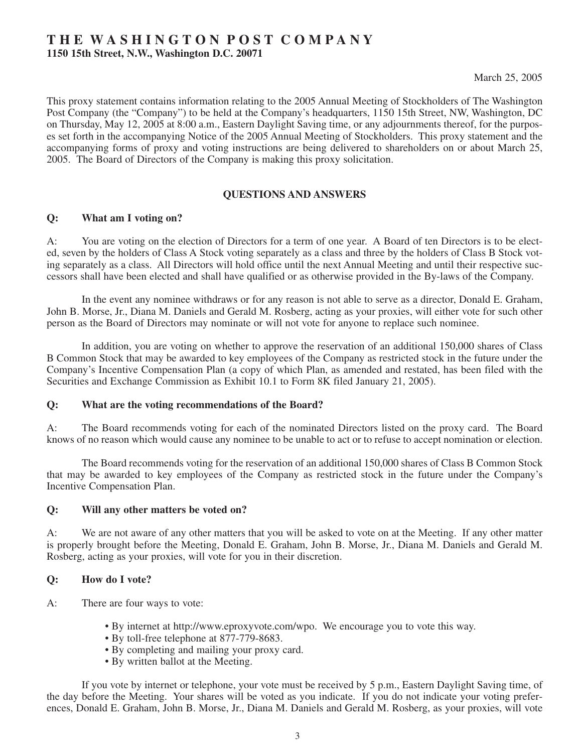# **T H E W A S H I N G T O N P O S T C O M P A N Y**

**1150 15th Street, N.W., Washington D.C. 20071**

March 25, 2005

This proxy statement contains information relating to the 2005 Annual Meeting of Stockholders of The Washington Post Company (the "Company") to be held at the Company's headquarters, 1150 15th Street, NW, Washington, DC on Thursday, May 12, 2005 at 8:00 a.m., Eastern Daylight Saving time, or any adjournments thereof, for the purposes set forth in the accompanying Notice of the 2005 Annual Meeting of Stockholders. This proxy statement and the accompanying forms of proxy and voting instructions are being delivered to shareholders on or about March 25, 2005. The Board of Directors of the Company is making this proxy solicitation.

# **QUESTIONS AND ANSWERS**

# **Q: What am I voting on?**

A: You are voting on the election of Directors for a term of one year. A Board of ten Directors is to be elected, seven by the holders of Class A Stock voting separately as a class and three by the holders of Class B Stock voting separately as a class. All Directors will hold office until the next Annual Meeting and until their respective successors shall have been elected and shall have qualified or as otherwise provided in the By-laws of the Company.

In the event any nominee withdraws or for any reason is not able to serve as a director, Donald E. Graham, John B. Morse, Jr., Diana M. Daniels and Gerald M. Rosberg, acting as your proxies, will either vote for such other person as the Board of Directors may nominate or will not vote for anyone to replace such nominee.

In addition, you are voting on whether to approve the reservation of an additional 150,000 shares of Class B Common Stock that may be awarded to key employees of the Company as restricted stock in the future under the Company's Incentive Compensation Plan (a copy of which Plan, as amended and restated, has been filed with the Securities and Exchange Commission as Exhibit 10.1 to Form 8K filed January 21, 2005).

#### **Q: What are the voting recommendations of the Board?**

A: The Board recommends voting for each of the nominated Directors listed on the proxy card. The Board knows of no reason which would cause any nominee to be unable to act or to refuse to accept nomination or election.

The Board recommends voting for the reservation of an additional 150,000 shares of Class B Common Stock that may be awarded to key employees of the Company as restricted stock in the future under the Company's Incentive Compensation Plan.

#### **Q: Will any other matters be voted on?**

A: We are not aware of any other matters that you will be asked to vote on at the Meeting. If any other matter is properly brought before the Meeting, Donald E. Graham, John B. Morse, Jr., Diana M. Daniels and Gerald M. Rosberg, acting as your proxies, will vote for you in their discretion.

# **Q: How do I vote?**

- A: There are four ways to vote:
	- By internet at http://www.eproxyvote.com/wpo. We encourage you to vote this way.
	- By toll-free telephone at 877-779-8683.
	- By completing and mailing your proxy card.
	- By written ballot at the Meeting.

If you vote by internet or telephone, your vote must be received by 5 p.m., Eastern Daylight Saving time, of the day before the Meeting. Your shares will be voted as you indicate. If you do not indicate your voting preferences, Donald E. Graham, John B. Morse, Jr., Diana M. Daniels and Gerald M. Rosberg, as your proxies, will vote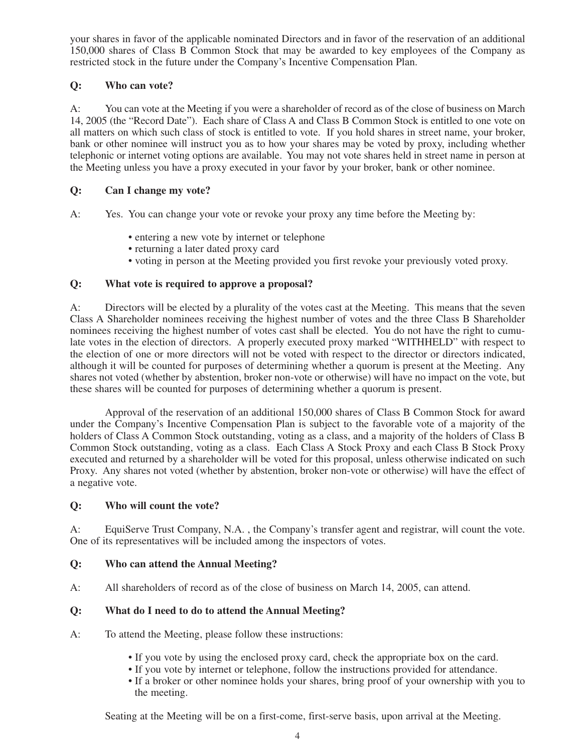your shares in favor of the applicable nominated Directors and in favor of the reservation of an additional 150,000 shares of Class B Common Stock that may be awarded to key employees of the Company as restricted stock in the future under the Company's Incentive Compensation Plan.

# **Q: Who can vote?**

A: You can vote at the Meeting if you were a shareholder of record as of the close of business on March 14, 2005 (the "Record Date"). Each share of Class A and Class B Common Stock is entitled to one vote on all matters on which such class of stock is entitled to vote. If you hold shares in street name, your broker, bank or other nominee will instruct you as to how your shares may be voted by proxy, including whether telephonic or internet voting options are available. You may not vote shares held in street name in person at the Meeting unless you have a proxy executed in your favor by your broker, bank or other nominee.

# **Q: Can I change my vote?**

- A: Yes. You can change your vote or revoke your proxy any time before the Meeting by:
	- entering a new vote by internet or telephone
	- returning a later dated proxy card
	- voting in person at the Meeting provided you first revoke your previously voted proxy.

# **Q: What vote is required to approve a proposal?**

A: Directors will be elected by a plurality of the votes cast at the Meeting. This means that the seven Class A Shareholder nominees receiving the highest number of votes and the three Class B Shareholder nominees receiving the highest number of votes cast shall be elected. You do not have the right to cumulate votes in the election of directors. A properly executed proxy marked "WITHHELD" with respect to the election of one or more directors will not be voted with respect to the director or directors indicated, although it will be counted for purposes of determining whether a quorum is present at the Meeting. Any shares not voted (whether by abstention, broker non-vote or otherwise) will have no impact on the vote, but these shares will be counted for purposes of determining whether a quorum is present.

Approval of the reservation of an additional 150,000 shares of Class B Common Stock for award under the Company's Incentive Compensation Plan is subject to the favorable vote of a majority of the holders of Class A Common Stock outstanding, voting as a class, and a majority of the holders of Class B Common Stock outstanding, voting as a class. Each Class A Stock Proxy and each Class B Stock Proxy executed and returned by a shareholder will be voted for this proposal, unless otherwise indicated on such Proxy. Any shares not voted (whether by abstention, broker non-vote or otherwise) will have the effect of a negative vote.

# **Q: Who will count the vote?**

A: EquiServe Trust Company, N.A. , the Company's transfer agent and registrar, will count the vote. One of its representatives will be included among the inspectors of votes.

# **Q: Who can attend the Annual Meeting?**

A: All shareholders of record as of the close of business on March 14, 2005, can attend.

# **Q: What do I need to do to attend the Annual Meeting?**

- A: To attend the Meeting, please follow these instructions:
	- If you vote by using the enclosed proxy card, check the appropriate box on the card.
	- If you vote by internet or telephone, follow the instructions provided for attendance.
	- If a broker or other nominee holds your shares, bring proof of your ownership with you to the meeting.

Seating at the Meeting will be on a first-come, first-serve basis, upon arrival at the Meeting.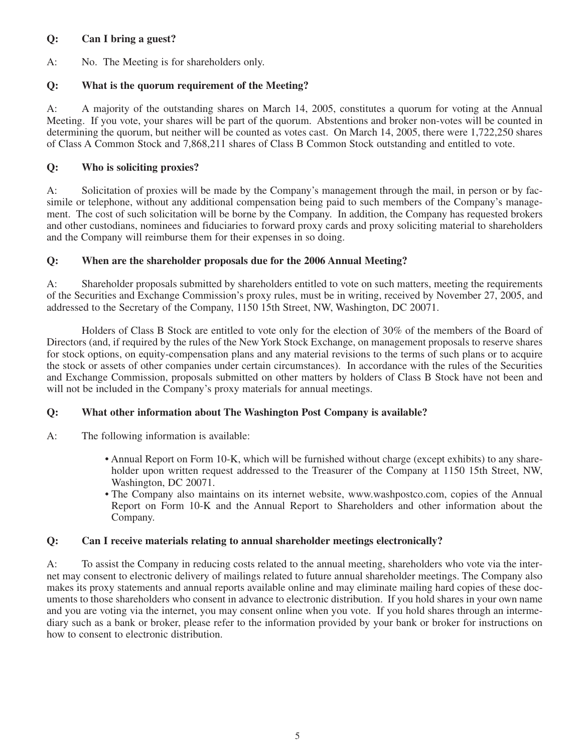# **Q: Can I bring a guest?**

A: No. The Meeting is for shareholders only.

# **Q: What is the quorum requirement of the Meeting?**

A: A majority of the outstanding shares on March 14, 2005, constitutes a quorum for voting at the Annual Meeting. If you vote, your shares will be part of the quorum. Abstentions and broker non-votes will be counted in determining the quorum, but neither will be counted as votes cast. On March 14, 2005, there were 1,722,250 shares of Class A Common Stock and 7,868,211 shares of Class B Common Stock outstanding and entitled to vote.

# **Q: Who is soliciting proxies?**

A: Solicitation of proxies will be made by the Company's management through the mail, in person or by facsimile or telephone, without any additional compensation being paid to such members of the Company's management. The cost of such solicitation will be borne by the Company. In addition, the Company has requested brokers and other custodians, nominees and fiduciaries to forward proxy cards and proxy soliciting material to shareholders and the Company will reimburse them for their expenses in so doing.

# **Q: When are the shareholder proposals due for the 2006 Annual Meeting?**

A: Shareholder proposals submitted by shareholders entitled to vote on such matters, meeting the requirements of the Securities and Exchange Commission's proxy rules, must be in writing, received by November 27, 2005, and addressed to the Secretary of the Company, 1150 15th Street, NW, Washington, DC 20071.

Holders of Class B Stock are entitled to vote only for the election of 30% of the members of the Board of Directors (and, if required by the rules of the New York Stock Exchange, on management proposals to reserve shares for stock options, on equity-compensation plans and any material revisions to the terms of such plans or to acquire the stock or assets of other companies under certain circumstances). In accordance with the rules of the Securities and Exchange Commission, proposals submitted on other matters by holders of Class B Stock have not been and will not be included in the Company's proxy materials for annual meetings.

# **Q: What other information about The Washington Post Company is available?**

A: The following information is available:

- Annual Report on Form 10-K, which will be furnished without charge (except exhibits) to any shareholder upon written request addressed to the Treasurer of the Company at 1150 15th Street, NW, Washington, DC 20071.
- The Company also maintains on its internet website, www.washpostco.com, copies of the Annual Report on Form 10-K and the Annual Report to Shareholders and other information about the Company.

# **Q: Can I receive materials relating to annual shareholder meetings electronically?**

A: To assist the Company in reducing costs related to the annual meeting, shareholders who vote via the internet may consent to electronic delivery of mailings related to future annual shareholder meetings. The Company also makes its proxy statements and annual reports available online and may eliminate mailing hard copies of these documents to those shareholders who consent in advance to electronic distribution. If you hold shares in your own name and you are voting via the internet, you may consent online when you vote. If you hold shares through an intermediary such as a bank or broker, please refer to the information provided by your bank or broker for instructions on how to consent to electronic distribution.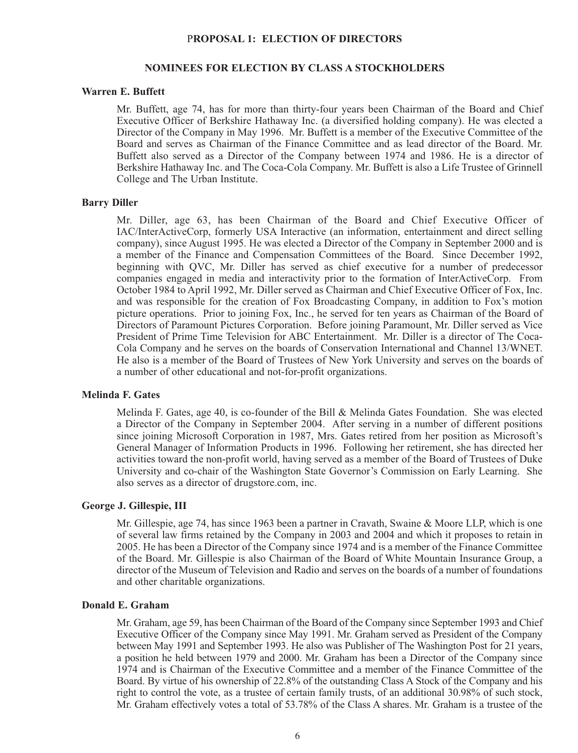#### P**ROPOSAL 1: ELECTION OF DIRECTORS**

### **NOMINEES FOR ELECTION BY CLASS A STOCKHOLDERS**

### **Warren E. Buffett**

Mr. Buffett, age 74, has for more than thirty-four years been Chairman of the Board and Chief Executive Officer of Berkshire Hathaway Inc. (a diversified holding company). He was elected a Director of the Company in May 1996. Mr. Buffett is a member of the Executive Committee of the Board and serves as Chairman of the Finance Committee and as lead director of the Board. Mr. Buffett also served as a Director of the Company between 1974 and 1986. He is a director of Berkshire Hathaway Inc. and The Coca-Cola Company. Mr. Buffett is also a Life Trustee of Grinnell College and The Urban Institute.

#### **Barry Diller**

Mr. Diller, age 63, has been Chairman of the Board and Chief Executive Officer of IAC/InterActiveCorp, formerly USA Interactive (an information, entertainment and direct selling company), since August 1995. He was elected a Director of the Company in September 2000 and is a member of the Finance and Compensation Committees of the Board. Since December 1992, beginning with QVC, Mr. Diller has served as chief executive for a number of predecessor companies engaged in media and interactivity prior to the formation of InterActiveCorp. From October 1984 to April 1992, Mr. Diller served as Chairman and Chief Executive Officer of Fox, Inc. and was responsible for the creation of Fox Broadcasting Company, in addition to Fox's motion picture operations. Prior to joining Fox, Inc., he served for ten years as Chairman of the Board of Directors of Paramount Pictures Corporation. Before joining Paramount, Mr. Diller served as Vice President of Prime Time Television for ABC Entertainment. Mr. Diller is a director of The Coca-Cola Company and he serves on the boards of Conservation International and Channel 13/WNET. He also is a member of the Board of Trustees of New York University and serves on the boards of a number of other educational and not-for-profit organizations.

### **Melinda F. Gates**

Melinda F. Gates, age 40, is co-founder of the Bill & Melinda Gates Foundation. She was elected a Director of the Company in September 2004. After serving in a number of different positions since joining Microsoft Corporation in 1987, Mrs. Gates retired from her position as Microsoft's General Manager of Information Products in 1996. Following her retirement, she has directed her activities toward the non-profit world, having served as a member of the Board of Trustees of Duke University and co-chair of the Washington State Governor's Commission on Early Learning. She also serves as a director of drugstore.com, inc.

#### **George J. Gillespie, III**

Mr. Gillespie, age 74, has since 1963 been a partner in Cravath, Swaine & Moore LLP, which is one of several law firms retained by the Company in 2003 and 2004 and which it proposes to retain in 2005. He has been a Director of the Company since 1974 and is a member of the Finance Committee of the Board. Mr. Gillespie is also Chairman of the Board of White Mountain Insurance Group, a director of the Museum of Television and Radio and serves on the boards of a number of foundations and other charitable organizations.

#### **Donald E. Graham**

Mr. Graham, age 59, has been Chairman of the Board of the Company since September 1993 and Chief Executive Officer of the Company since May 1991. Mr. Graham served as President of the Company between May 1991 and September 1993. He also was Publisher of The Washington Post for 21 years, a position he held between 1979 and 2000. Mr. Graham has been a Director of the Company since 1974 and is Chairman of the Executive Committee and a member of the Finance Committee of the Board. By virtue of his ownership of 22.8% of the outstanding Class A Stock of the Company and his right to control the vote, as a trustee of certain family trusts, of an additional 30.98% of such stock, Mr. Graham effectively votes a total of 53.78% of the Class A shares. Mr. Graham is a trustee of the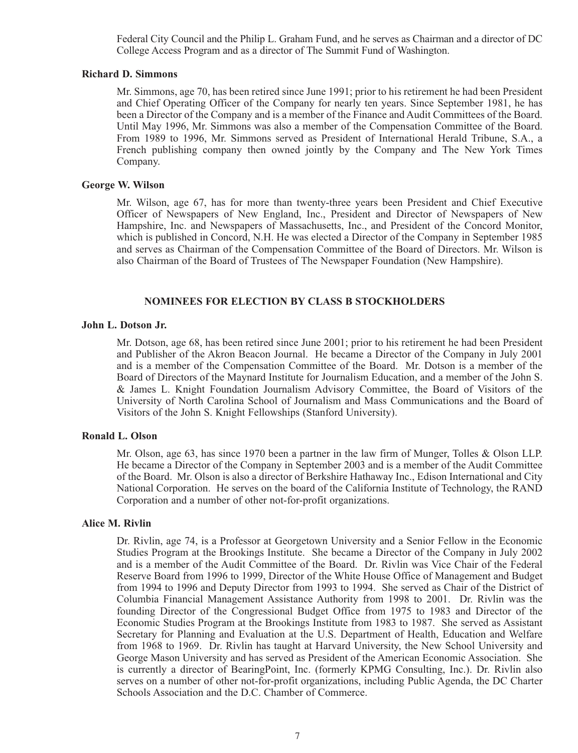Federal City Council and the Philip L. Graham Fund, and he serves as Chairman and a director of DC College Access Program and as a director of The Summit Fund of Washington.

### **Richard D. Simmons**

Mr. Simmons, age 70, has been retired since June 1991; prior to his retirement he had been President and Chief Operating Officer of the Company for nearly ten years. Since September 1981, he has been a Director of the Company and is a member of the Finance and Audit Committees of the Board. Until May 1996, Mr. Simmons was also a member of the Compensation Committee of the Board. From 1989 to 1996, Mr. Simmons served as President of International Herald Tribune, S.A., a French publishing company then owned jointly by the Company and The New York Times Company.

### **George W. Wilson**

Mr. Wilson, age 67, has for more than twenty-three years been President and Chief Executive Officer of Newspapers of New England, Inc., President and Director of Newspapers of New Hampshire, Inc. and Newspapers of Massachusetts, Inc., and President of the Concord Monitor, which is published in Concord, N.H. He was elected a Director of the Company in September 1985 and serves as Chairman of the Compensation Committee of the Board of Directors. Mr. Wilson is also Chairman of the Board of Trustees of The Newspaper Foundation (New Hampshire).

# **NOMINEES FOR ELECTION BY CLASS B STOCKHOLDERS**

#### **John L. Dotson Jr.**

Mr. Dotson, age 68, has been retired since June 2001; prior to his retirement he had been President and Publisher of the Akron Beacon Journal. He became a Director of the Company in July 2001 and is a member of the Compensation Committee of the Board. Mr. Dotson is a member of the Board of Directors of the Maynard Institute for Journalism Education, and a member of the John S. & James L. Knight Foundation Journalism Advisory Committee, the Board of Visitors of the University of North Carolina School of Journalism and Mass Communications and the Board of Visitors of the John S. Knight Fellowships (Stanford University).

### **Ronald L. Olson**

Mr. Olson, age 63, has since 1970 been a partner in the law firm of Munger, Tolles & Olson LLP. He became a Director of the Company in September 2003 and is a member of the Audit Committee of the Board. Mr. Olson is also a director of Berkshire Hathaway Inc., Edison International and City National Corporation. He serves on the board of the California Institute of Technology, the RAND Corporation and a number of other not-for-profit organizations.

#### **Alice M. Rivlin**

Dr. Rivlin, age 74, is a Professor at Georgetown University and a Senior Fellow in the Economic Studies Program at the Brookings Institute. She became a Director of the Company in July 2002 and is a member of the Audit Committee of the Board. Dr. Rivlin was Vice Chair of the Federal Reserve Board from 1996 to 1999, Director of the White House Office of Management and Budget from 1994 to 1996 and Deputy Director from 1993 to 1994. She served as Chair of the District of Columbia Financial Management Assistance Authority from 1998 to 2001. Dr. Rivlin was the founding Director of the Congressional Budget Office from 1975 to 1983 and Director of the Economic Studies Program at the Brookings Institute from 1983 to 1987. She served as Assistant Secretary for Planning and Evaluation at the U.S. Department of Health, Education and Welfare from 1968 to 1969. Dr. Rivlin has taught at Harvard University, the New School University and George Mason University and has served as President of the American Economic Association. She is currently a director of BearingPoint, Inc. (formerly KPMG Consulting, Inc.). Dr. Rivlin also serves on a number of other not-for-profit organizations, including Public Agenda, the DC Charter Schools Association and the D.C. Chamber of Commerce.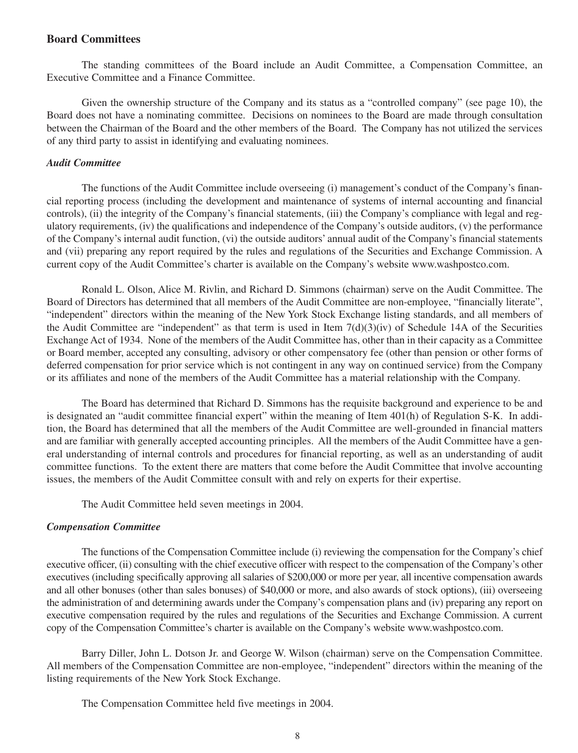### **Board Committees**

The standing committees of the Board include an Audit Committee, a Compensation Committee, an Executive Committee and a Finance Committee.

Given the ownership structure of the Company and its status as a "controlled company" (see page 10), the Board does not have a nominating committee. Decisions on nominees to the Board are made through consultation between the Chairman of the Board and the other members of the Board. The Company has not utilized the services of any third party to assist in identifying and evaluating nominees.

#### *Audit Committee*

The functions of the Audit Committee include overseeing (i) management's conduct of the Company's financial reporting process (including the development and maintenance of systems of internal accounting and financial controls), (ii) the integrity of the Company's financial statements, (iii) the Company's compliance with legal and regulatory requirements, (iv) the qualifications and independence of the Company's outside auditors, (v) the performance of the Company's internal audit function, (vi) the outside auditors' annual audit of the Company's financial statements and (vii) preparing any report required by the rules and regulations of the Securities and Exchange Commission. A current copy of the Audit Committee's charter is available on the Company's website www.washpostco.com.

Ronald L. Olson, Alice M. Rivlin, and Richard D. Simmons (chairman) serve on the Audit Committee. The Board of Directors has determined that all members of the Audit Committee are non-employee, "financially literate", "independent" directors within the meaning of the New York Stock Exchange listing standards, and all members of the Audit Committee are "independent" as that term is used in Item  $7(d)(3)(iv)$  of Schedule 14A of the Securities Exchange Act of 1934. None of the members of the Audit Committee has, other than in their capacity as a Committee or Board member, accepted any consulting, advisory or other compensatory fee (other than pension or other forms of deferred compensation for prior service which is not contingent in any way on continued service) from the Company or its affiliates and none of the members of the Audit Committee has a material relationship with the Company.

The Board has determined that Richard D. Simmons has the requisite background and experience to be and is designated an "audit committee financial expert" within the meaning of Item 401(h) of Regulation S-K. In addition, the Board has determined that all the members of the Audit Committee are well-grounded in financial matters and are familiar with generally accepted accounting principles. All the members of the Audit Committee have a general understanding of internal controls and procedures for financial reporting, as well as an understanding of audit committee functions. To the extent there are matters that come before the Audit Committee that involve accounting issues, the members of the Audit Committee consult with and rely on experts for their expertise.

The Audit Committee held seven meetings in 2004.

#### *Compensation Committee*

The functions of the Compensation Committee include (i) reviewing the compensation for the Company's chief executive officer, (ii) consulting with the chief executive officer with respect to the compensation of the Company's other executives (including specifically approving all salaries of \$200,000 or more per year, all incentive compensation awards and all other bonuses (other than sales bonuses) of \$40,000 or more, and also awards of stock options), (iii) overseeing the administration of and determining awards under the Company's compensation plans and (iv) preparing any report on executive compensation required by the rules and regulations of the Securities and Exchange Commission. A current copy of the Compensation Committee's charter is available on the Company's website www.washpostco.com.

Barry Diller, John L. Dotson Jr. and George W. Wilson (chairman) serve on the Compensation Committee. All members of the Compensation Committee are non-employee, "independent" directors within the meaning of the listing requirements of the New York Stock Exchange.

The Compensation Committee held five meetings in 2004.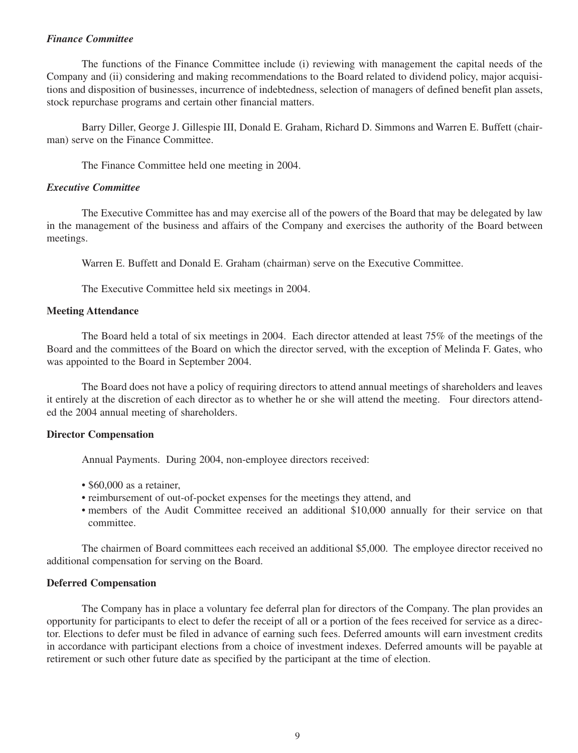#### *Finance Committee*

The functions of the Finance Committee include (i) reviewing with management the capital needs of the Company and (ii) considering and making recommendations to the Board related to dividend policy, major acquisitions and disposition of businesses, incurrence of indebtedness, selection of managers of defined benefit plan assets, stock repurchase programs and certain other financial matters.

Barry Diller, George J. Gillespie III, Donald E. Graham, Richard D. Simmons and Warren E. Buffett (chairman) serve on the Finance Committee.

The Finance Committee held one meeting in 2004.

### *Executive Committee*

The Executive Committee has and may exercise all of the powers of the Board that may be delegated by law in the management of the business and affairs of the Company and exercises the authority of the Board between meetings.

Warren E. Buffett and Donald E. Graham (chairman) serve on the Executive Committee.

The Executive Committee held six meetings in 2004.

### **Meeting Attendance**

The Board held a total of six meetings in 2004. Each director attended at least 75% of the meetings of the Board and the committees of the Board on which the director served, with the exception of Melinda F. Gates, who was appointed to the Board in September 2004.

The Board does not have a policy of requiring directors to attend annual meetings of shareholders and leaves it entirely at the discretion of each director as to whether he or she will attend the meeting. Four directors attended the 2004 annual meeting of shareholders.

# **Director Compensation**

Annual Payments. During 2004, non-employee directors received:

- \$60,000 as a retainer.
- reimbursement of out-of-pocket expenses for the meetings they attend, and
- members of the Audit Committee received an additional \$10,000 annually for their service on that committee.

The chairmen of Board committees each received an additional \$5,000. The employee director received no additional compensation for serving on the Board.

# **Deferred Compensation**

The Company has in place a voluntary fee deferral plan for directors of the Company. The plan provides an opportunity for participants to elect to defer the receipt of all or a portion of the fees received for service as a director. Elections to defer must be filed in advance of earning such fees. Deferred amounts will earn investment credits in accordance with participant elections from a choice of investment indexes. Deferred amounts will be payable at retirement or such other future date as specified by the participant at the time of election.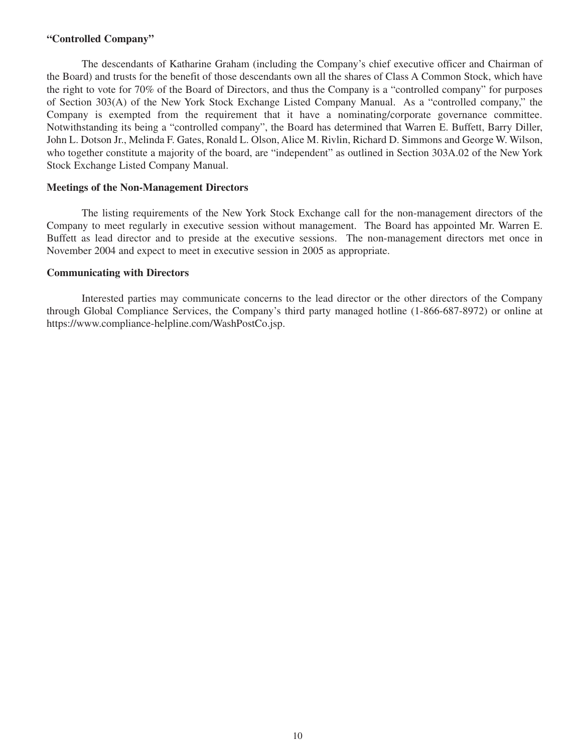### **"Controlled Company"**

The descendants of Katharine Graham (including the Company's chief executive officer and Chairman of the Board) and trusts for the benefit of those descendants own all the shares of Class A Common Stock, which have the right to vote for 70% of the Board of Directors, and thus the Company is a "controlled company" for purposes of Section 303(A) of the New York Stock Exchange Listed Company Manual. As a "controlled company," the Company is exempted from the requirement that it have a nominating/corporate governance committee. Notwithstanding its being a "controlled company", the Board has determined that Warren E. Buffett, Barry Diller, John L. Dotson Jr., Melinda F. Gates, Ronald L. Olson, Alice M. Rivlin, Richard D. Simmons and George W. Wilson, who together constitute a majority of the board, are "independent" as outlined in Section 303A.02 of the New York Stock Exchange Listed Company Manual.

### **Meetings of the Non-Management Directors**

The listing requirements of the New York Stock Exchange call for the non-management directors of the Company to meet regularly in executive session without management. The Board has appointed Mr. Warren E. Buffett as lead director and to preside at the executive sessions. The non-management directors met once in November 2004 and expect to meet in executive session in 2005 as appropriate.

### **Communicating with Directors**

Interested parties may communicate concerns to the lead director or the other directors of the Company through Global Compliance Services, the Company's third party managed hotline (1-866-687-8972) or online at https://www.compliance-helpline.com/WashPostCo.jsp.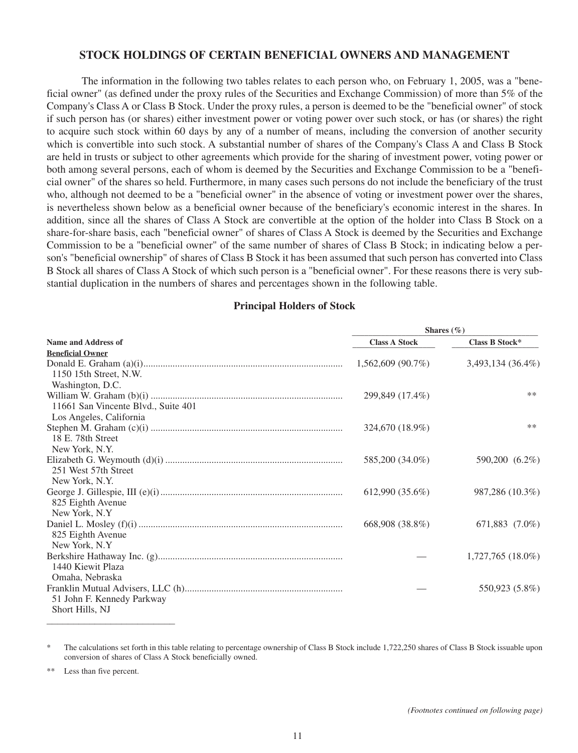# **STOCK HOLDINGS OF CERTAIN BENEFICIAL OWNERS AND MANAGEMENT**

The information in the following two tables relates to each person who, on February 1, 2005, was a "beneficial owner" (as defined under the proxy rules of the Securities and Exchange Commission) of more than 5% of the Company's Class A or Class B Stock. Under the proxy rules, a person is deemed to be the "beneficial owner" of stock if such person has (or shares) either investment power or voting power over such stock, or has (or shares) the right to acquire such stock within 60 days by any of a number of means, including the conversion of another security which is convertible into such stock. A substantial number of shares of the Company's Class A and Class B Stock are held in trusts or subject to other agreements which provide for the sharing of investment power, voting power or both among several persons, each of whom is deemed by the Securities and Exchange Commission to be a "beneficial owner" of the shares so held. Furthermore, in many cases such persons do not include the beneficiary of the trust who, although not deemed to be a "beneficial owner" in the absence of voting or investment power over the shares, is nevertheless shown below as a beneficial owner because of the beneficiary's economic interest in the shares. In addition, since all the shares of Class A Stock are convertible at the option of the holder into Class B Stock on a share-for-share basis, each "beneficial owner" of shares of Class A Stock is deemed by the Securities and Exchange Commission to be a "beneficial owner" of the same number of shares of Class B Stock; in indicating below a person's "beneficial ownership" of shares of Class B Stock it has been assumed that such person has converted into Class B Stock all shares of Class A Stock of which such person is a "beneficial owner". For these reasons there is very substantial duplication in the numbers of shares and percentages shown in the following table.

### **Principal Holders of Stock**

|                                     | Shares $(\% )$       |                     |  |  |
|-------------------------------------|----------------------|---------------------|--|--|
| <b>Name and Address of</b>          | <b>Class A Stock</b> | Class B Stock*      |  |  |
| <b>Beneficial Owner</b>             |                      |                     |  |  |
|                                     | $1,562,609$ (90.7%)  | 3,493,134 (36.4%)   |  |  |
| 1150 15th Street, N.W.              |                      |                     |  |  |
| Washington, D.C.                    |                      |                     |  |  |
|                                     | 299,849 (17.4%)      | $***$               |  |  |
| 11661 San Vincente Blvd., Suite 401 |                      |                     |  |  |
| Los Angeles, California             |                      |                     |  |  |
|                                     | 324,670 (18.9%)      | $***$               |  |  |
| 18 E. 78th Street                   |                      |                     |  |  |
| New York, N.Y.                      |                      |                     |  |  |
|                                     | 585,200 (34.0%)      | 590,200 (6.2%)      |  |  |
| 251 West 57th Street                |                      |                     |  |  |
| New York, N.Y.                      |                      |                     |  |  |
|                                     | $612,990(35.6\%)$    | 987,286 (10.3%)     |  |  |
| 825 Eighth Avenue                   |                      |                     |  |  |
| New York, N.Y.                      |                      |                     |  |  |
|                                     | 668,908 (38.8%)      | 671,883 (7.0%)      |  |  |
| 825 Eighth Avenue<br>New York, N.Y. |                      |                     |  |  |
|                                     |                      | $1,727,765(18.0\%)$ |  |  |
| 1440 Kiewit Plaza                   |                      |                     |  |  |
| Omaha, Nebraska                     |                      |                     |  |  |
|                                     |                      | 550,923 (5.8%)      |  |  |
| 51 John F. Kennedy Parkway          |                      |                     |  |  |
| Short Hills, NJ                     |                      |                     |  |  |
|                                     |                      |                     |  |  |

\* The calculations set forth in this table relating to percentage ownership of Class B Stock include 1,722,250 shares of Class B Stock issuable upon conversion of shares of Class A Stock beneficially owned.

Less than five percent.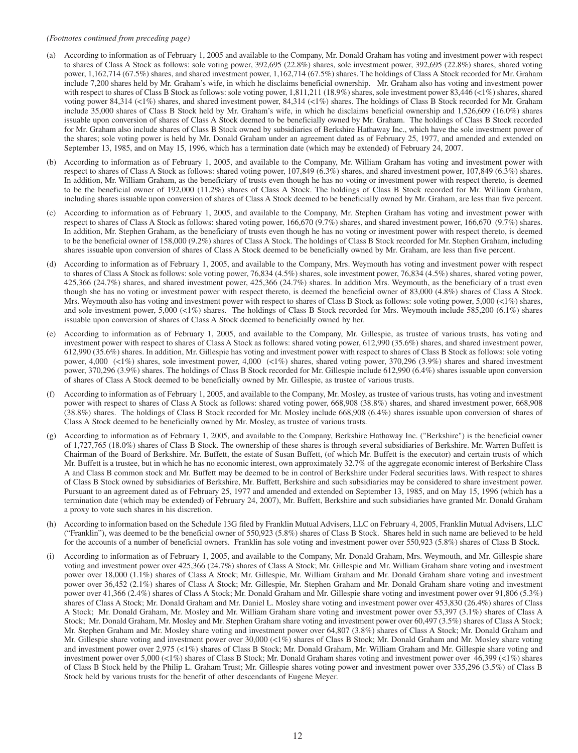#### *(Footnotes continued from preceding page)*

- (a) According to information as of February 1, 2005 and available to the Company, Mr. Donald Graham has voting and investment power with respect to shares of Class A Stock as follows: sole voting power, 392,695 (22.8%) shares, sole investment power, 392,695 (22.8%) shares, shared voting power, 1,162,714 (67.5%) shares, and shared investment power, 1,162,714 (67.5%) shares. The holdings of Class A Stock recorded for Mr. Graham include 7,200 shares held by Mr. Graham's wife, in which he disclaims beneficial ownership. Mr. Graham also has voting and investment power with respect to shares of Class B Stock as follows: sole voting power, 1,811,211 (18.9%) shares, sole investment power 83,446 (<1%) shares, shared voting power 84,314 (<1%) shares, and shared investment power, 84,314 (<1%) shares. The holdings of Class B Stock recorded for Mr. Graham include 35,000 shares of Class B Stock held by Mr. Graham's wife, in which he disclaims beneficial ownership and 1,526,609 (16.0%) shares issuable upon conversion of shares of Class A Stock deemed to be beneficially owned by Mr. Graham. The holdings of Class B Stock recorded for Mr. Graham also include shares of Class B Stock owned by subsidiaries of Berkshire Hathaway Inc., which have the sole investment power of the shares; sole voting power is held by Mr. Donald Graham under an agreement dated as of February 25, 1977, and amended and extended on September 13, 1985, and on May 15, 1996, which has a termination date (which may be extended) of February 24, 2007.
- (b) According to information as of February 1, 2005, and available to the Company, Mr. William Graham has voting and investment power with respect to shares of Class A Stock as follows: shared voting power, 107,849 (6.3%) shares, and shared investment power, 107,849 (6.3%) shares. In addition, Mr. William Graham, as the beneficiary of trusts even though he has no voting or investment power with respect thereto, is deemed to be the beneficial owner of 192,000 (11.2%) shares of Class A Stock. The holdings of Class B Stock recorded for Mr. William Graham, including shares issuable upon conversion of shares of Class A Stock deemed to be beneficially owned by Mr. Graham, are less than five percent.
- (c) According to information as of February 1, 2005, and available to the Company, Mr. Stephen Graham has voting and investment power with respect to shares of Class A Stock as follows: shared voting power, 166,670 (9.7%) shares, and shared investment power, 166,670 (9.7%) shares. In addition, Mr. Stephen Graham, as the beneficiary of trusts even though he has no voting or investment power with respect thereto, is deemed to be the beneficial owner of 158,000 (9.2%) shares of Class A Stock. The holdings of Class B Stock recorded for Mr. Stephen Graham, including shares issuable upon conversion of shares of Class A Stock deemed to be beneficially owned by Mr. Graham, are less than five percent.
- (d) According to information as of February 1, 2005, and available to the Company, Mrs. Weymouth has voting and investment power with respect to shares of Class A Stock as follows: sole voting power, 76,834 (4.5%) shares, sole investment power, 76,834 (4.5%) shares, shared voting power, 425,366 (24.7%) shares, and shared investment power, 425,366 (24.7%) shares. In addition Mrs. Weymouth, as the beneficiary of a trust even though she has no voting or investment power with respect thereto, is deemed the beneficial owner of 83,000 (4.8%) shares of Class A Stock. Mrs. Weymouth also has voting and investment power with respect to shares of Class B Stock as follows: sole voting power, 5,000 (<1%) shares, and sole investment power, 5,000 (<1%) shares. The holdings of Class B Stock recorded for Mrs. Weymouth include 585,200 (6.1%) shares issuable upon conversion of shares of Class A Stock deemed to beneficially owned by her.
- (e) According to information as of February 1, 2005, and available to the Company, Mr. Gillespie, as trustee of various trusts, has voting and investment power with respect to shares of Class A Stock as follows: shared voting power, 612,990 (35.6%) shares, and shared investment power, 612,990 (35.6%) shares. In addition, Mr. Gillespie has voting and investment power with respect to shares of Class B Stock as follows: sole voting power, 4,000 (<1%) shares, sole investment power, 4,000 (<1%) shares, shared voting power, 370,296 (3.9%) shares and shared investment power, 370,296 (3.9%) shares. The holdings of Class B Stock recorded for Mr. Gillespie include 612,990 (6.4%) shares issuable upon conversion of shares of Class A Stock deemed to be beneficially owned by Mr. Gillespie, as trustee of various trusts.
- (f) According to information as of February 1, 2005, and available to the Company, Mr. Mosley, as trustee of various trusts, has voting and investment power with respect to shares of Class A Stock as follows: shared voting power, 668,908 (38.8%) shares, and shared investment power, 668,908 (38.8%) shares. The holdings of Class B Stock recorded for Mr. Mosley include 668,908 (6.4%) shares issuable upon conversion of shares of Class A Stock deemed to be beneficially owned by Mr. Mosley, as trustee of various trusts.
- (g) According to information as of February 1, 2005, and available to the Company, Berkshire Hathaway Inc. ("Berkshire") is the beneficial owner of 1,727,765 (18.0%) shares of Class B Stock. The ownership of these shares is through several subsidiaries of Berkshire. Mr. Warren Buffett is Chairman of the Board of Berkshire. Mr. Buffett, the estate of Susan Buffett, (of which Mr. Buffett is the executor) and certain trusts of which Mr. Buffett is a trustee, but in which he has no economic interest, own approximately 32.7% of the aggregate economic interest of Berkshire Class A and Class B common stock and Mr. Buffett may be deemed to be in control of Berkshire under Federal securities laws. With respect to shares of Class B Stock owned by subsidiaries of Berkshire, Mr. Buffett, Berkshire and such subsidiaries may be considered to share investment power. Pursuant to an agreement dated as of February 25, 1977 and amended and extended on September 13, 1985, and on May 15, 1996 (which has a termination date (which may be extended) of February 24, 2007), Mr. Buffett, Berkshire and such subsidiaries have granted Mr. Donald Graham a proxy to vote such shares in his discretion.
- (h) According to information based on the Schedule 13G filed by Franklin Mutual Advisers, LLC on February 4, 2005, Franklin Mutual Advisers, LLC ("Franklin"), was deemed to be the beneficial owner of 550,923 (5.8%) shares of Class B Stock. Shares held in such name are believed to be held for the accounts of a number of beneficial owners. Franklin has sole voting and investment power over 550,923 (5.8%) shares of Class B Stock.
- (i) According to information as of February 1, 2005, and available to the Company, Mr. Donald Graham, Mrs. Weymouth, and Mr. Gillespie share voting and investment power over 425,366 (24.7%) shares of Class A Stock; Mr. Gillespie and Mr. William Graham share voting and investment power over 18,000 (1.1%) shares of Class A Stock; Mr. Gillespie, Mr. William Graham and Mr. Donald Graham share voting and investment power over 36,452 (2.1%) shares of Class A Stock; Mr. Gillespie, Mr. Stephen Graham and Mr. Donald Graham share voting and investment power over 41,366 (2.4%) shares of Class A Stock; Mr. Donald Graham and Mr. Gillespie share voting and investment power over 91,806 (5.3%) shares of Class A Stock; Mr. Donald Graham and Mr. Daniel L. Mosley share voting and investment power over 453,830 (26.4%) shares of Class A Stock; Mr. Donald Graham, Mr. Mosley and Mr. William Graham share voting and investment power over 53,397 (3.1%) shares of Class A Stock; Mr. Donald Graham, Mr. Mosley and Mr. Stephen Graham share voting and investment power over 60,497 (3.5%) shares of Class A Stock; Mr. Stephen Graham and Mr. Mosley share voting and investment power over 64,807 (3.8%) shares of Class A Stock; Mr. Donald Graham and Mr. Gillespie share voting and investment power over 30,000 (<1%) shares of Class B Stock; Mr. Donald Graham and Mr. Mosley share voting and investment power over 2,975 (<1%) shares of Class B Stock; Mr. Donald Graham, Mr. William Graham and Mr. Gillespie share voting and investment power over 5,000 (<1%) shares of Class B Stock; Mr. Donald Graham shares voting and investment power over 46,399 (<1%) shares of Class B Stock held by the Philip L. Graham Trust; Mr. Gillespie shares voting power and investment power over 335,296 (3.5%) of Class B Stock held by various trusts for the benefit of other descendants of Eugene Meyer.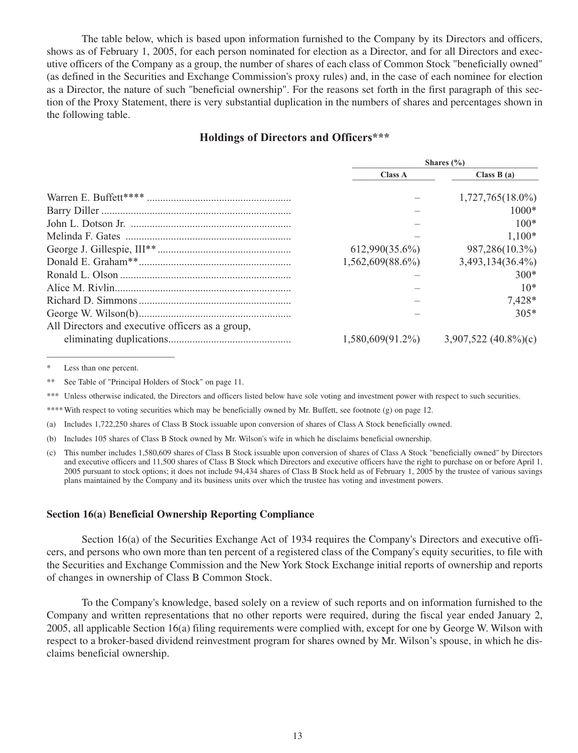The table below, which is based upon information furnished to the Company by its Directors and officers, shows as of February 1, 2005, for each person nominated for election as a Director, and for all Directors and executive officers of the Company as a group, the number of shares of each class of Common Stock "beneficially owned" (as defined in the Securities and Exchange Commission's proxy rules) and, in the case of each nominee for election as a Director, the nature of such "beneficial ownership". For the reasons set forth in the first paragraph of this section of the Proxy Statement, there is very substantial duplication in the numbers of shares and percentages shown in the following table.

# **Holdings of Directors and Officers\*\*\***

|                                                  | Shares $(\% )$      |                        |  |
|--------------------------------------------------|---------------------|------------------------|--|
|                                                  | Class A             | Class $B(a)$           |  |
|                                                  |                     | $1,727,765(18.0\%)$    |  |
|                                                  |                     | $1000*$                |  |
|                                                  |                     | $100*$                 |  |
|                                                  |                     | $1,100*$               |  |
|                                                  | $612,990(35.6\%)$   | 987,286(10.3%)         |  |
|                                                  | $1,562,609(88.6\%)$ | $3,493,134(36.4\%)$    |  |
|                                                  |                     | $300*$                 |  |
|                                                  |                     | $10*$                  |  |
|                                                  |                     | 7,428*                 |  |
|                                                  |                     | $305*$                 |  |
| All Directors and executive officers as a group, |                     |                        |  |
|                                                  | $1,580,609(91.2\%)$ | $3,907,522$ (40.8%)(c) |  |

\* Less than one percent.

\_\_\_\_\_\_\_\_\_\_\_\_\_\_\_\_\_\_\_\_\_\_\_\_\_\_\_\_\_\_\_

\*\* See Table of "Principal Holders of Stock" on page 11.

\*\*\* Unless otherwise indicated, the Directors and officers listed below have sole voting and investment power with respect to such securities.

\*\*\*\*With respect to voting securities which may be beneficially owned by Mr. Buffett, see footnote (g) on page 12.

(a) Includes 1,722,250 shares of Class B Stock issuable upon conversion of shares of Class A Stock beneficially owned.

(b) Includes 105 shares of Class B Stock owned by Mr. Wilson's wife in which he disclaims beneficial ownership.

(c) This number includes 1,580,609 shares of Class B Stock issuable upon conversion of shares of Class A Stock "beneficially owned" by Directors and executive officers and 11,500 shares of Class B Stock which Directors and executive officers have the right to purchase on or before April 1, 2005 pursuant to stock options; it does not include 94,434 shares of Class B Stock held as of February 1, 2005 by the trustee of various savings plans maintained by the Company and its business units over which the trustee has voting and investment powers.

#### **Section 16(a) Beneficial Ownership Reporting Compliance**

Section 16(a) of the Securities Exchange Act of 1934 requires the Company's Directors and executive officers, and persons who own more than ten percent of a registered class of the Company's equity securities, to file with the Securities and Exchange Commission and the New York Stock Exchange initial reports of ownership and reports of changes in ownership of Class B Common Stock.

To the Company's knowledge, based solely on a review of such reports and on information furnished to the Company and written representations that no other reports were required, during the fiscal year ended January 2, 2005, all applicable Section 16(a) filing requirements were complied with, except for one by George W. Wilson with respect to a broker-based dividend reinvestment program for shares owned by Mr. Wilson's spouse, in which he disclaims beneficial ownership.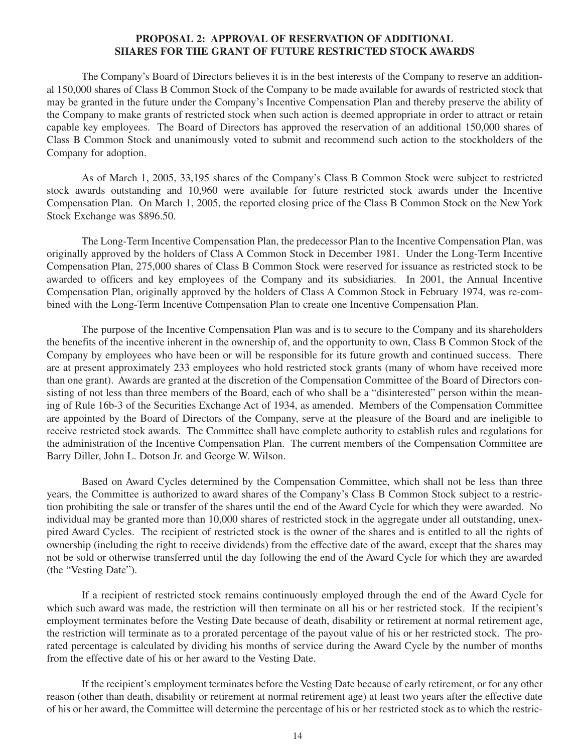### **PROPOSAL 2: APPROVAL OF RESERVATION OF ADDITIONAL SHARES FOR THE GRANT OF FUTURE RESTRICTED STOCK AWARDS**

The Company's Board of Directors believes it is in the best interests of the Company to reserve an additional 150,000 shares of Class B Common Stock of the Company to be made available for awards of restricted stock that may be granted in the future under the Company's Incentive Compensation Plan and thereby preserve the ability of the Company to make grants of restricted stock when such action is deemed appropriate in order to attract or retain capable key employees. The Board of Directors has approved the reservation of an additional 150,000 shares of Class B Common Stock and unanimously voted to submit and recommend such action to the stockholders of the Company for adoption.

As of March 1, 2005, 33,195 shares of the Company's Class B Common Stock were subject to restricted stock awards outstanding and 10,960 were available for future restricted stock awards under the Incentive Compensation Plan. On March 1, 2005, the reported closing price of the Class B Common Stock on the New York Stock Exchange was \$896.50.

The Long-Term Incentive Compensation Plan, the predecessor Plan to the Incentive Compensation Plan, was originally approved by the holders of Class A Common Stock in December 1981. Under the Long-Term Incentive Compensation Plan, 275,000 shares of Class B Common Stock were reserved for issuance as restricted stock to be awarded to officers and key employees of the Company and its subsidiaries. In 2001, the Annual Incentive Compensation Plan, originally approved by the holders of Class A Common Stock in February 1974, was re-combined with the Long-Term Incentive Compensation Plan to create one Incentive Compensation Plan.

The purpose of the Incentive Compensation Plan was and is to secure to the Company and its shareholders the benefits of the incentive inherent in the ownership of, and the opportunity to own, Class B Common Stock of the Company by employees who have been or will be responsible for its future growth and continued success. There are at present approximately 233 employees who hold restricted stock grants (many of whom have received more than one grant). Awards are granted at the discretion of the Compensation Committee of the Board of Directors consisting of not less than three members of the Board, each of who shall be a "disinterested" person within the meaning of Rule 16b-3 of the Securities Exchange Act of 1934, as amended. Members of the Compensation Committee are appointed by the Board of Directors of the Company, serve at the pleasure of the Board and are ineligible to receive restricted stock awards. The Committee shall have complete authority to establish rules and regulations for the administration of the Incentive Compensation Plan. The current members of the Compensation Committee are Barry Diller, John L. Dotson Jr. and George W. Wilson.

Based on Award Cycles determined by the Compensation Committee, which shall not be less than three years, the Committee is authorized to award shares of the Company's Class B Common Stock subject to a restriction prohibiting the sale or transfer of the shares until the end of the Award Cycle for which they were awarded. No individual may be granted more than 10,000 shares of restricted stock in the aggregate under all outstanding, unexpired Award Cycles. The recipient of restricted stock is the owner of the shares and is entitled to all the rights of ownership (including the right to receive dividends) from the effective date of the award, except that the shares may not be sold or otherwise transferred until the day following the end of the Award Cycle for which they are awarded (the "Vesting Date").

If a recipient of restricted stock remains continuously employed through the end of the Award Cycle for which such award was made, the restriction will then terminate on all his or her restricted stock. If the recipient's employment terminates before the Vesting Date because of death, disability or retirement at normal retirement age, the restriction will terminate as to a prorated percentage of the payout value of his or her restricted stock. The prorated percentage is calculated by dividing his months of service during the Award Cycle by the number of months from the effective date of his or her award to the Vesting Date.

If the recipient's employment terminates before the Vesting Date because of early retirement, or for any other reason (other than death, disability or retirement at normal retirement age) at least two years after the effective date of his or her award, the Committee will determine the percentage of his or her restricted stock as to which the restric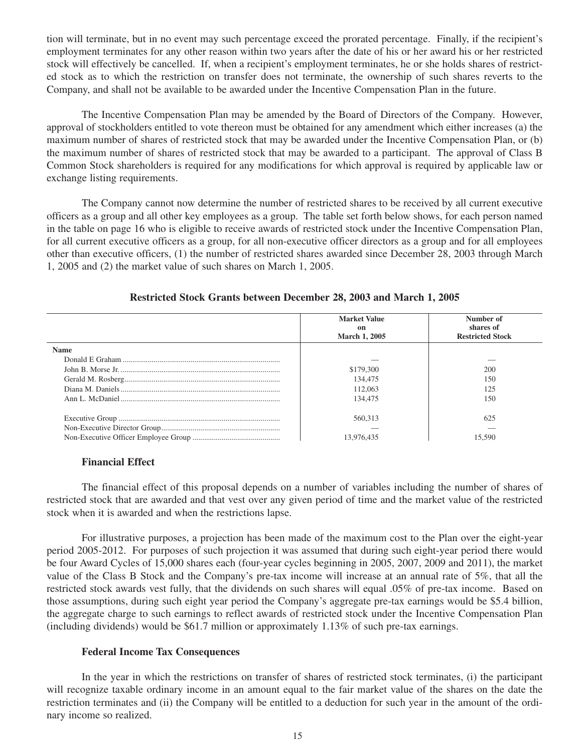tion will terminate, but in no event may such percentage exceed the prorated percentage. Finally, if the recipient's employment terminates for any other reason within two years after the date of his or her award his or her restricted stock will effectively be cancelled. If, when a recipient's employment terminates, he or she holds shares of restricted stock as to which the restriction on transfer does not terminate, the ownership of such shares reverts to the Company, and shall not be available to be awarded under the Incentive Compensation Plan in the future.

The Incentive Compensation Plan may be amended by the Board of Directors of the Company. However, approval of stockholders entitled to vote thereon must be obtained for any amendment which either increases (a) the maximum number of shares of restricted stock that may be awarded under the Incentive Compensation Plan, or (b) the maximum number of shares of restricted stock that may be awarded to a participant. The approval of Class B Common Stock shareholders is required for any modifications for which approval is required by applicable law or exchange listing requirements.

The Company cannot now determine the number of restricted shares to be received by all current executive officers as a group and all other key employees as a group. The table set forth below shows, for each person named in the table on page 16 who is eligible to receive awards of restricted stock under the Incentive Compensation Plan, for all current executive officers as a group, for all non-executive officer directors as a group and for all employees other than executive officers, (1) the number of restricted shares awarded since December 28, 2003 through March 1, 2005 and (2) the market value of such shares on March 1, 2005.

| Restricted Stock Grants between December 28, 2003 and March 1, 2005 |  |
|---------------------------------------------------------------------|--|
|---------------------------------------------------------------------|--|

|             | <b>Market Value</b><br>on<br><b>March 1, 2005</b> | Number of<br>shares of<br><b>Restricted Stock</b> |
|-------------|---------------------------------------------------|---------------------------------------------------|
| <b>Name</b> |                                                   |                                                   |
|             |                                                   |                                                   |
|             | \$179,300                                         | 200                                               |
|             | 134,475                                           | 150                                               |
|             | 112,063                                           | 125                                               |
|             | 134,475                                           | 150                                               |
|             | 560,313                                           | 625                                               |
|             |                                                   |                                                   |
|             | 13.976.435                                        |                                                   |

# **Financial Effect**

The financial effect of this proposal depends on a number of variables including the number of shares of restricted stock that are awarded and that vest over any given period of time and the market value of the restricted stock when it is awarded and when the restrictions lapse.

For illustrative purposes, a projection has been made of the maximum cost to the Plan over the eight-year period 2005-2012. For purposes of such projection it was assumed that during such eight-year period there would be four Award Cycles of 15,000 shares each (four-year cycles beginning in 2005, 2007, 2009 and 2011), the market value of the Class B Stock and the Company's pre-tax income will increase at an annual rate of 5%, that all the restricted stock awards vest fully, that the dividends on such shares will equal .05% of pre-tax income. Based on those assumptions, during such eight year period the Company's aggregate pre-tax earnings would be \$5.4 billion, the aggregate charge to such earnings to reflect awards of restricted stock under the Incentive Compensation Plan (including dividends) would be \$61.7 million or approximately 1.13% of such pre-tax earnings.

# **Federal Income Tax Consequences**

In the year in which the restrictions on transfer of shares of restricted stock terminates, (i) the participant will recognize taxable ordinary income in an amount equal to the fair market value of the shares on the date the restriction terminates and (ii) the Company will be entitled to a deduction for such year in the amount of the ordinary income so realized.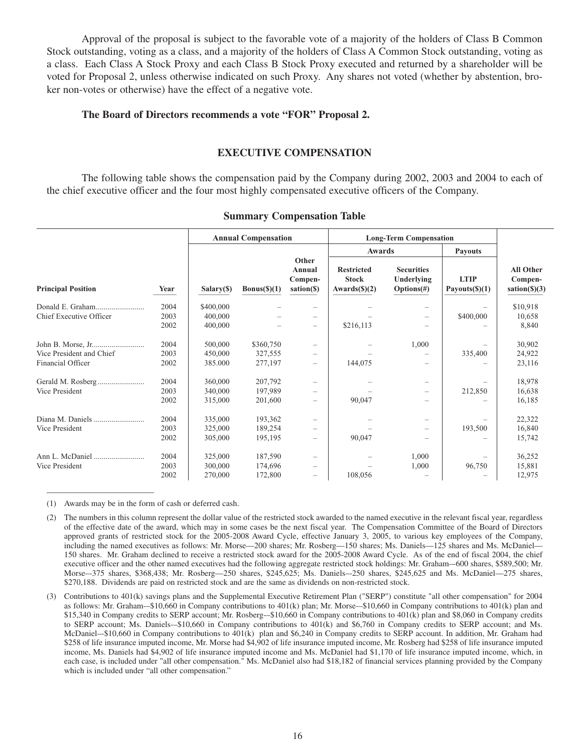Approval of the proposal is subject to the favorable vote of a majority of the holders of Class B Common Stock outstanding, voting as a class, and a majority of the holders of Class A Common Stock outstanding, voting as a class. Each Class A Stock Proxy and each Class B Stock Proxy executed and returned by a shareholder will be voted for Proposal 2, unless otherwise indicated on such Proxy. Any shares not voted (whether by abstention, broker non-votes or otherwise) have the effect of a negative vote.

# **The Board of Directors recommends a vote "FOR" Proposal 2.**

### **EXECUTIVE COMPENSATION**

The following table shows the compensation paid by the Company during 2002, 2003 and 2004 to each of the chief executive officer and the four most highly compensated executive officers of the Company.

|                           |      | <b>Annual Compensation</b> |              |                                                                           | <b>Long-Term Compensation</b>                     |                                                  |                                                                                           |          |
|---------------------------|------|----------------------------|--------------|---------------------------------------------------------------------------|---------------------------------------------------|--------------------------------------------------|-------------------------------------------------------------------------------------------|----------|
|                           |      |                            |              |                                                                           |                                                   | Awards                                           |                                                                                           |          |
| <b>Principal Position</b> | Year | Salary(\$)                 | Bonus(\$)(1) | Other<br>Annual<br>Compen-<br>sation(\$)                                  | <b>Restricted</b><br><b>Stock</b><br>Awards(S)(2) | <b>Securities</b><br>Underlying<br>$Options(\#)$ | <b>All Other</b><br><b>LTIP</b><br>Compen-<br>Payouts $(\text{\$})(1)$<br>$sation(\S)(3)$ |          |
|                           | 2004 | \$400,000                  |              |                                                                           |                                                   |                                                  |                                                                                           | \$10,918 |
| Chief Executive Officer   | 2003 | 400,000                    |              |                                                                           |                                                   |                                                  | \$400,000                                                                                 | 10,658   |
|                           | 2002 | 400,000                    |              |                                                                           | \$216,113                                         |                                                  |                                                                                           | 8,840    |
|                           | 2004 | 500,000                    | \$360,750    |                                                                           |                                                   | 1,000                                            |                                                                                           | 30,902   |
| Vice President and Chief  | 2003 | 450,000                    | 327,555      |                                                                           |                                                   |                                                  | 335,400                                                                                   | 24,922   |
| Financial Officer         | 2002 | 385.000                    | 277,197      | $\qquad \qquad -$                                                         | 144,075                                           | -                                                |                                                                                           | 23,116   |
|                           | 2004 | 360,000                    | 207,792      |                                                                           |                                                   |                                                  |                                                                                           | 18,978   |
| Vice President            | 2003 | 340,000                    | 197,989      |                                                                           |                                                   | $\qquad \qquad$                                  | 212,850                                                                                   | 16,638   |
|                           | 2002 | 315,000                    | 201,600      |                                                                           | 90,047                                            | -                                                |                                                                                           | 16,185   |
| Diana M. Daniels          | 2004 | 335,000                    | 193,362      |                                                                           |                                                   |                                                  |                                                                                           | 22,322   |
| Vice President            | 2003 | 325,000                    | 189,254      |                                                                           |                                                   | $\qquad \qquad$                                  | 193,500                                                                                   | 16,840   |
|                           | 2002 | 305,000                    | 195,195      | $\hspace{1.0cm} \rule{1.5cm}{0.15cm} \hspace{1.0cm} \rule{1.5cm}{0.15cm}$ | 90,047                                            |                                                  |                                                                                           | 15,742   |
|                           | 2004 | 325,000                    | 187,590      |                                                                           |                                                   | 1,000                                            |                                                                                           | 36,252   |
| Vice President            | 2003 | 300,000                    | 174,696      |                                                                           |                                                   | 1,000                                            | 96,750                                                                                    | 15,881   |
|                           | 2002 | 270,000                    | 172,800      | $\qquad \qquad -$                                                         | 108,056                                           |                                                  |                                                                                           | 12,975   |

#### **Summary Compensation Table**

(1) Awards may be in the form of cash or deferred cash.

\_\_\_\_\_\_\_\_\_\_\_\_\_\_\_\_\_\_\_\_\_\_\_\_\_\_

<sup>(2)</sup> The numbers in this column represent the dollar value of the restricted stock awarded to the named executive in the relevant fiscal year, regardless of the effective date of the award, which may in some cases be the next fiscal year. The Compensation Committee of the Board of Directors approved grants of restricted stock for the 2005-2008 Award Cycle, effective January 3, 2005, to various key employees of the Company, including the named executives as follows: Mr. Morse—200 shares; Mr. Rosberg—150 shares; Ms. Daniels—125 shares and Ms. McDaniel— 150 shares. Mr. Graham declined to receive a restricted stock award for the 2005-2008 Award Cycle. As of the end of fiscal 2004, the chief executive officer and the other named executives had the following aggregate restricted stock holdings: Mr. Graham–-600 shares, \$589,500; Mr. Morse–-375 shares, \$368,438; Mr. Rosberg—250 shares, \$245,625; Ms. Daniels–-250 shares, \$245,625 and Ms. McDaniel—275 shares, \$270,188. Dividends are paid on restricted stock and are the same as dividends on non-restricted stock.

<sup>(3)</sup> Contributions to 401(k) savings plans and the Supplemental Executive Retirement Plan ("SERP") constitute "all other compensation" for 2004 as follows: Mr. Graham-–\$10,660 in Company contributions to 401(k) plan; Mr. Morse-–\$10,660 in Company contributions to 401(k) plan and \$15,340 in Company credits to SERP account; Mr. Rosberg-–\$10,660 in Company contributions to 401(k) plan and \$8,060 in Company credits to SERP account; Ms. Daniels-–\$10,660 in Company contributions to 401(k) and \$6,760 in Company credits to SERP account; and Ms. McDaniel–-\$10,660 in Company contributions to 401(k) plan and \$6,240 in Company credits to SERP account. In addition, Mr. Graham had \$258 of life insurance imputed income, Mr. Morse had \$4,902 of life insurance imputed income, Mr. Rosberg had \$258 of life insurance imputed income, Ms. Daniels had \$4,902 of life insurance imputed income and Ms. McDaniel had \$1,170 of life insurance imputed income, which, in each case, is included under "all other compensation." Ms. McDaniel also had \$18,182 of financial services planning provided by the Company which is included under "all other compensation."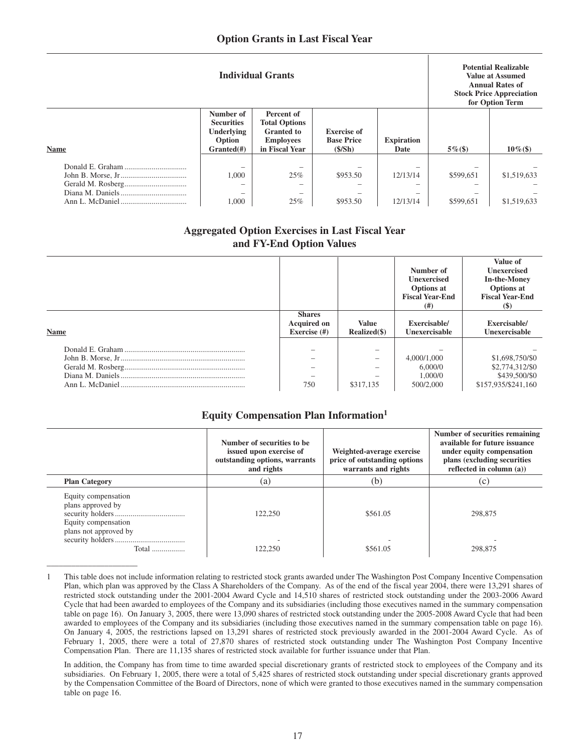|             | <b>Individual Grants</b>                                                           |                                                                                               |                                                   |                                                                              |                        | <b>Potential Realizable</b><br><b>Value at Assumed</b><br><b>Annual Rates of</b><br><b>Stock Price Appreciation</b><br>for Option Term |
|-------------|------------------------------------------------------------------------------------|-----------------------------------------------------------------------------------------------|---------------------------------------------------|------------------------------------------------------------------------------|------------------------|----------------------------------------------------------------------------------------------------------------------------------------|
| <b>Name</b> | Number of<br><b>Securities</b><br><b>Underlying</b><br>Option<br>Grand( <i>#</i> ) | Percent of<br><b>Total Options</b><br><b>Granted</b> to<br><b>Employees</b><br>in Fiscal Year | <b>Exercise</b> of<br><b>Base Price</b><br>(S/Sh) | <b>Expiration</b><br>Date                                                    | $5\%$ (\$)             | $10\%$ (\$)                                                                                                                            |
|             | 1,000<br>$\overline{\phantom{a}}$<br>$\overline{\phantom{a}}$<br>1,000             | $\overline{\phantom{0}}$<br>25%<br>$\overline{\phantom{0}}$<br>25%                            | \$953.50<br>\$953.50                              | 12/13/14<br>$\overline{\phantom{a}}$<br>$\overline{\phantom{a}}$<br>12/13/14 | \$599,651<br>\$599,651 | \$1,519,633<br>\$1,519,633                                                                                                             |

# **Aggregated Option Exercises in Last Fiscal Year and FY-End Option Values**

|             |                                                     |                              | Number of<br><b>Unexercised</b><br><b>Options</b> at<br><b>Fiscal Year-End</b><br>(# ) | Value of<br><b>Unexercised</b><br><b>In-the-Money</b><br>Options at<br><b>Fiscal Year-End</b><br><b>(S)</b> |
|-------------|-----------------------------------------------------|------------------------------|----------------------------------------------------------------------------------------|-------------------------------------------------------------------------------------------------------------|
| <b>Name</b> | <b>Shares</b><br><b>Acquired on</b><br>Exercise (#) | <b>Value</b><br>Realized(\$) | Exercisable/<br>Unexercisable                                                          | Exercisable/<br>Unexercisable                                                                               |
|             | 750                                                 | \$317,135                    | 4,000/1,000<br>6,000/0<br>1,000/0<br>500/2,000                                         | \$1,698,750/\$0<br>\$2,774,312/\$0<br>\$439,500/\$0<br>\$157,935/\$241,160                                  |

# **Equity Compensation Plan Information1**

|                                                                                          | Number of securities to be.<br>issued upon exercise of<br>outstanding options, warrants<br>and rights | Weighted-average exercise<br>price of outstanding options<br>warrants and rights | Number of securities remaining<br>available for future issuance<br>under equity compensation<br>plans (excluding securities)<br>reflected in column $(a)$ ) |
|------------------------------------------------------------------------------------------|-------------------------------------------------------------------------------------------------------|----------------------------------------------------------------------------------|-------------------------------------------------------------------------------------------------------------------------------------------------------------|
| <b>Plan Category</b>                                                                     | (a)                                                                                                   | (b)                                                                              | (c)                                                                                                                                                         |
| Equity compensation<br>plans approved by<br>Equity compensation<br>plans not approved by | 122,250                                                                                               | \$561.05                                                                         | 298,875                                                                                                                                                     |
| Total                                                                                    | 122.250                                                                                               | \$561.05                                                                         | 298.875                                                                                                                                                     |

<sup>1</sup> This table does not include information relating to restricted stock grants awarded under The Washington Post Company Incentive Compensation Plan, which plan was approved by the Class A Shareholders of the Company. As of the end of the fiscal year 2004, there were 13,291 shares of restricted stock outstanding under the 2001-2004 Award Cycle and 14,510 shares of restricted stock outstanding under the 2003-2006 Award Cycle that had been awarded to employees of the Company and its subsidiaries (including those executives named in the summary compensation table on page 16). On January 3, 2005, there were 13,090 shares of restricted stock outstanding under the 2005-2008 Award Cycle that had been awarded to employees of the Company and its subsidiaries (including those executives named in the summary compensation table on page 16). On January 4, 2005, the restrictions lapsed on 13,291 shares of restricted stock previously awarded in the 2001-2004 Award Cycle. As of February 1, 2005, there were a total of 27,870 shares of restricted stock outstanding under The Washington Post Company Incentive Compensation Plan. There are 11,135 shares of restricted stock available for further issuance under that Plan.

\_\_\_\_\_\_\_\_\_\_\_\_\_\_\_\_\_\_\_\_\_\_

In addition, the Company has from time to time awarded special discretionary grants of restricted stock to employees of the Company and its subsidiaries. On February 1, 2005, there were a total of 5,425 shares of restricted stock outstanding under special discretionary grants approved by the Compensation Committee of the Board of Directors, none of which were granted to those executives named in the summary compensation table on page 16.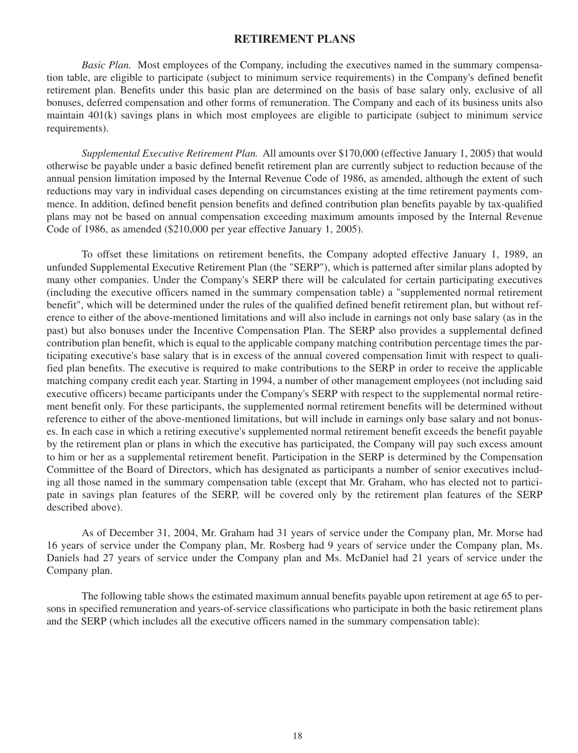# **RETIREMENT PLANS**

*Basic Plan.* Most employees of the Company, including the executives named in the summary compensation table, are eligible to participate (subject to minimum service requirements) in the Company's defined benefit retirement plan. Benefits under this basic plan are determined on the basis of base salary only, exclusive of all bonuses, deferred compensation and other forms of remuneration. The Company and each of its business units also maintain 401(k) savings plans in which most employees are eligible to participate (subject to minimum service requirements).

*Supplemental Executive Retirement Plan.* All amounts over \$170,000 (effective January 1, 2005) that would otherwise be payable under a basic defined benefit retirement plan are currently subject to reduction because of the annual pension limitation imposed by the Internal Revenue Code of 1986, as amended, although the extent of such reductions may vary in individual cases depending on circumstances existing at the time retirement payments commence. In addition, defined benefit pension benefits and defined contribution plan benefits payable by tax-qualified plans may not be based on annual compensation exceeding maximum amounts imposed by the Internal Revenue Code of 1986, as amended (\$210,000 per year effective January 1, 2005).

To offset these limitations on retirement benefits, the Company adopted effective January 1, 1989, an unfunded Supplemental Executive Retirement Plan (the "SERP"), which is patterned after similar plans adopted by many other companies. Under the Company's SERP there will be calculated for certain participating executives (including the executive officers named in the summary compensation table) a "supplemented normal retirement benefit", which will be determined under the rules of the qualified defined benefit retirement plan, but without reference to either of the above-mentioned limitations and will also include in earnings not only base salary (as in the past) but also bonuses under the Incentive Compensation Plan. The SERP also provides a supplemental defined contribution plan benefit, which is equal to the applicable company matching contribution percentage times the participating executive's base salary that is in excess of the annual covered compensation limit with respect to qualified plan benefits. The executive is required to make contributions to the SERP in order to receive the applicable matching company credit each year. Starting in 1994, a number of other management employees (not including said executive officers) became participants under the Company's SERP with respect to the supplemental normal retirement benefit only. For these participants, the supplemented normal retirement benefits will be determined without reference to either of the above-mentioned limitations, but will include in earnings only base salary and not bonuses. In each case in which a retiring executive's supplemented normal retirement benefit exceeds the benefit payable by the retirement plan or plans in which the executive has participated, the Company will pay such excess amount to him or her as a supplemental retirement benefit. Participation in the SERP is determined by the Compensation Committee of the Board of Directors, which has designated as participants a number of senior executives including all those named in the summary compensation table (except that Mr. Graham, who has elected not to participate in savings plan features of the SERP, will be covered only by the retirement plan features of the SERP described above).

As of December 31, 2004, Mr. Graham had 31 years of service under the Company plan, Mr. Morse had 16 years of service under the Company plan, Mr. Rosberg had 9 years of service under the Company plan, Ms. Daniels had 27 years of service under the Company plan and Ms. McDaniel had 21 years of service under the Company plan.

The following table shows the estimated maximum annual benefits payable upon retirement at age 65 to persons in specified remuneration and years-of-service classifications who participate in both the basic retirement plans and the SERP (which includes all the executive officers named in the summary compensation table):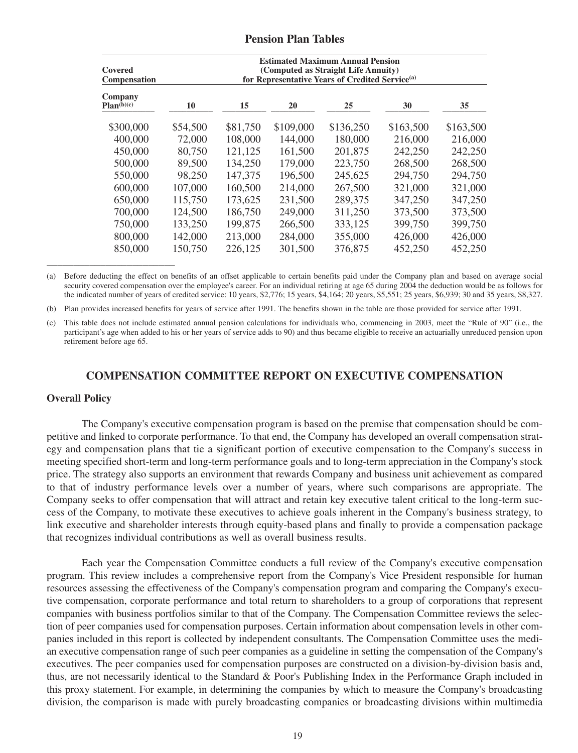### **Pension Plan Tables**

| Covered<br><b>Compensation</b> | <b>Estimated Maximum Annual Pension</b><br>(Computed as Straight Life Annuity)<br>for Representative Years of Credited Service <sup>(a)</sup> |          |           |           |           |           |  |
|--------------------------------|-----------------------------------------------------------------------------------------------------------------------------------------------|----------|-----------|-----------|-----------|-----------|--|
| Company<br>Plan(b)(c)          | 10                                                                                                                                            | 15       | 20        | 25        | 30        | 35        |  |
| \$300,000                      | \$54,500                                                                                                                                      | \$81,750 | \$109,000 | \$136,250 | \$163,500 | \$163,500 |  |
| 400,000                        | 72,000                                                                                                                                        | 108,000  | 144,000   | 180,000   | 216,000   | 216,000   |  |
| 450,000                        | 80,750                                                                                                                                        | 121,125  | 161,500   | 201,875   | 242,250   | 242,250   |  |
| 500,000                        | 89,500                                                                                                                                        | 134,250  | 179,000   | 223,750   | 268,500   | 268,500   |  |
| 550,000                        | 98,250                                                                                                                                        | 147,375  | 196,500   | 245,625   | 294,750   | 294,750   |  |
| 600,000                        | 107,000                                                                                                                                       | 160,500  | 214,000   | 267,500   | 321,000   | 321,000   |  |
| 650,000                        | 115,750                                                                                                                                       | 173,625  | 231,500   | 289,375   | 347,250   | 347,250   |  |
| 700,000                        | 124,500                                                                                                                                       | 186,750  | 249,000   | 311,250   | 373,500   | 373,500   |  |
| 750,000                        | 133,250                                                                                                                                       | 199,875  | 266,500   | 333,125   | 399,750   | 399,750   |  |
| 800,000                        | 142,000                                                                                                                                       | 213,000  | 284,000   | 355,000   | 426,000   | 426,000   |  |
| 850,000                        | 150,750                                                                                                                                       | 226,125  | 301,500   | 376,875   | 452,250   | 452,250   |  |

(a) Before deducting the effect on benefits of an offset applicable to certain benefits paid under the Company plan and based on average social security covered compensation over the employee's career. For an individual retiring at age 65 during 2004 the deduction would be as follows for the indicated number of years of credited service: 10 years, \$2,776; 15 years, \$4,164; 20 years, \$5,551; 25 years, \$6,939; 30 and 35 years, \$8,327.

(b) Plan provides increased benefits for years of service after 1991. The benefits shown in the table are those provided for service after 1991.

(c) This table does not include estimated annual pension calculations for individuals who, commencing in 2003, meet the "Rule of 90" (i.e., the participant's age when added to his or her years of service adds to 90) and thus became eligible to receive an actuarially unreduced pension upon retirement before age 65.

# **COMPENSATION COMMITTEE REPORT ON EXECUTIVE COMPENSATION**

#### **Overall Policy**

The Company's executive compensation program is based on the premise that compensation should be competitive and linked to corporate performance. To that end, the Company has developed an overall compensation strategy and compensation plans that tie a significant portion of executive compensation to the Company's success in meeting specified short-term and long-term performance goals and to long-term appreciation in the Company's stock price. The strategy also supports an environment that rewards Company and business unit achievement as compared to that of industry performance levels over a number of years, where such comparisons are appropriate. The Company seeks to offer compensation that will attract and retain key executive talent critical to the long-term success of the Company, to motivate these executives to achieve goals inherent in the Company's business strategy, to link executive and shareholder interests through equity-based plans and finally to provide a compensation package that recognizes individual contributions as well as overall business results.

Each year the Compensation Committee conducts a full review of the Company's executive compensation program. This review includes a comprehensive report from the Company's Vice President responsible for human resources assessing the effectiveness of the Company's compensation program and comparing the Company's executive compensation, corporate performance and total return to shareholders to a group of corporations that represent companies with business portfolios similar to that of the Company. The Compensation Committee reviews the selection of peer companies used for compensation purposes. Certain information about compensation levels in other companies included in this report is collected by independent consultants. The Compensation Committee uses the median executive compensation range of such peer companies as a guideline in setting the compensation of the Company's executives. The peer companies used for compensation purposes are constructed on a division-by-division basis and, thus, are not necessarily identical to the Standard & Poor's Publishing Index in the Performance Graph included in this proxy statement. For example, in determining the companies by which to measure the Company's broadcasting division, the comparison is made with purely broadcasting companies or broadcasting divisions within multimedia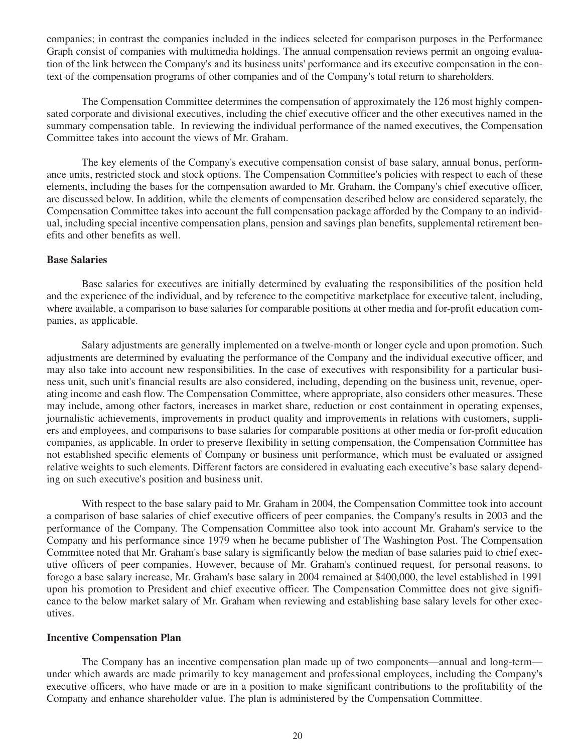companies; in contrast the companies included in the indices selected for comparison purposes in the Performance Graph consist of companies with multimedia holdings. The annual compensation reviews permit an ongoing evaluation of the link between the Company's and its business units' performance and its executive compensation in the context of the compensation programs of other companies and of the Company's total return to shareholders.

The Compensation Committee determines the compensation of approximately the 126 most highly compensated corporate and divisional executives, including the chief executive officer and the other executives named in the summary compensation table. In reviewing the individual performance of the named executives, the Compensation Committee takes into account the views of Mr. Graham.

The key elements of the Company's executive compensation consist of base salary, annual bonus, performance units, restricted stock and stock options. The Compensation Committee's policies with respect to each of these elements, including the bases for the compensation awarded to Mr. Graham, the Company's chief executive officer, are discussed below. In addition, while the elements of compensation described below are considered separately, the Compensation Committee takes into account the full compensation package afforded by the Company to an individual, including special incentive compensation plans, pension and savings plan benefits, supplemental retirement benefits and other benefits as well.

#### **Base Salaries**

Base salaries for executives are initially determined by evaluating the responsibilities of the position held and the experience of the individual, and by reference to the competitive marketplace for executive talent, including, where available, a comparison to base salaries for comparable positions at other media and for-profit education companies, as applicable.

Salary adjustments are generally implemented on a twelve-month or longer cycle and upon promotion. Such adjustments are determined by evaluating the performance of the Company and the individual executive officer, and may also take into account new responsibilities. In the case of executives with responsibility for a particular business unit, such unit's financial results are also considered, including, depending on the business unit, revenue, operating income and cash flow. The Compensation Committee, where appropriate, also considers other measures. These may include, among other factors, increases in market share, reduction or cost containment in operating expenses, journalistic achievements, improvements in product quality and improvements in relations with customers, suppliers and employees, and comparisons to base salaries for comparable positions at other media or for-profit education companies, as applicable. In order to preserve flexibility in setting compensation, the Compensation Committee has not established specific elements of Company or business unit performance, which must be evaluated or assigned relative weights to such elements. Different factors are considered in evaluating each executive's base salary depending on such executive's position and business unit.

With respect to the base salary paid to Mr. Graham in 2004, the Compensation Committee took into account a comparison of base salaries of chief executive officers of peer companies, the Company's results in 2003 and the performance of the Company. The Compensation Committee also took into account Mr. Graham's service to the Company and his performance since 1979 when he became publisher of The Washington Post. The Compensation Committee noted that Mr. Graham's base salary is significantly below the median of base salaries paid to chief executive officers of peer companies. However, because of Mr. Graham's continued request, for personal reasons, to forego a base salary increase, Mr. Graham's base salary in 2004 remained at \$400,000, the level established in 1991 upon his promotion to President and chief executive officer. The Compensation Committee does not give significance to the below market salary of Mr. Graham when reviewing and establishing base salary levels for other executives.

### **Incentive Compensation Plan**

The Company has an incentive compensation plan made up of two components—annual and long-term under which awards are made primarily to key management and professional employees, including the Company's executive officers, who have made or are in a position to make significant contributions to the profitability of the Company and enhance shareholder value. The plan is administered by the Compensation Committee.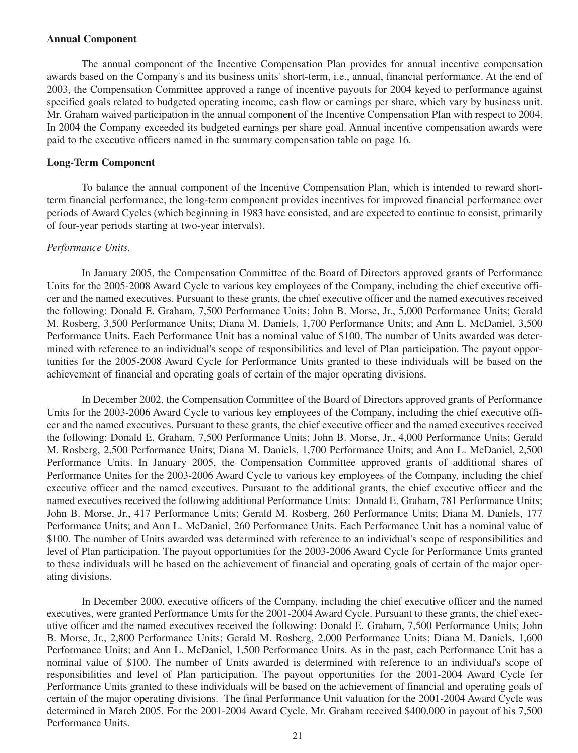#### **Annual Component**

The annual component of the Incentive Compensation Plan provides for annual incentive compensation awards based on the Company's and its business units' short-term, i.e., annual, financial performance. At the end of 2003, the Compensation Committee approved a range of incentive payouts for 2004 keyed to performance against specified goals related to budgeted operating income, cash flow or earnings per share, which vary by business unit. Mr. Graham waived participation in the annual component of the Incentive Compensation Plan with respect to 2004. In 2004 the Company exceeded its budgeted earnings per share goal. Annual incentive compensation awards were paid to the executive officers named in the summary compensation table on page 16.

### **Long-Term Component**

To balance the annual component of the Incentive Compensation Plan, which is intended to reward shortterm financial performance, the long-term component provides incentives for improved financial performance over periods of Award Cycles (which beginning in 1983 have consisted, and are expected to continue to consist, primarily of four-year periods starting at two-year intervals).

#### *Performance Units.*

In January 2005, the Compensation Committee of the Board of Directors approved grants of Performance Units for the 2005-2008 Award Cycle to various key employees of the Company, including the chief executive officer and the named executives. Pursuant to these grants, the chief executive officer and the named executives received the following: Donald E. Graham, 7,500 Performance Units; John B. Morse, Jr., 5,000 Performance Units; Gerald M. Rosberg, 3,500 Performance Units; Diana M. Daniels, 1,700 Performance Units; and Ann L. McDaniel, 3,500 Performance Units. Each Performance Unit has a nominal value of \$100. The number of Units awarded was determined with reference to an individual's scope of responsibilities and level of Plan participation. The payout opportunities for the 2005-2008 Award Cycle for Performance Units granted to these individuals will be based on the achievement of financial and operating goals of certain of the major operating divisions.

In December 2002, the Compensation Committee of the Board of Directors approved grants of Performance Units for the 2003-2006 Award Cycle to various key employees of the Company, including the chief executive officer and the named executives. Pursuant to these grants, the chief executive officer and the named executives received the following: Donald E. Graham, 7,500 Performance Units; John B. Morse, Jr., 4,000 Performance Units; Gerald M. Rosberg, 2,500 Performance Units; Diana M. Daniels, 1,700 Performance Units; and Ann L. McDaniel, 2,500 Performance Units. In January 2005, the Compensation Committee approved grants of additional shares of Performance Unites for the 2003-2006 Award Cycle to various key employees of the Company, including the chief executive officer and the named executives. Pursuant to the additional grants, the chief executive officer and the named executives received the following additional Performance Units: Donald E. Graham, 781 Performance Units; John B. Morse, Jr., 417 Performance Units; Gerald M. Rosberg, 260 Performance Units; Diana M. Daniels, 177 Performance Units; and Ann L. McDaniel, 260 Performance Units. Each Performance Unit has a nominal value of \$100. The number of Units awarded was determined with reference to an individual's scope of responsibilities and level of Plan participation. The payout opportunities for the 2003-2006 Award Cycle for Performance Units granted to these individuals will be based on the achievement of financial and operating goals of certain of the major operating divisions.

In December 2000, executive officers of the Company, including the chief executive officer and the named executives, were granted Performance Units for the 2001-2004 Award Cycle. Pursuant to these grants, the chief executive officer and the named executives received the following: Donald E. Graham, 7,500 Performance Units; John B. Morse, Jr., 2,800 Performance Units; Gerald M. Rosberg, 2,000 Performance Units; Diana M. Daniels, 1,600 Performance Units; and Ann L. McDaniel, 1,500 Performance Units. As in the past, each Performance Unit has a nominal value of \$100. The number of Units awarded is determined with reference to an individual's scope of responsibilities and level of Plan participation. The payout opportunities for the 2001-2004 Award Cycle for Performance Units granted to these individuals will be based on the achievement of financial and operating goals of certain of the major operating divisions. The final Performance Unit valuation for the 2001-2004 Award Cycle was determined in March 2005. For the 2001-2004 Award Cycle, Mr. Graham received \$400,000 in payout of his 7,500 Performance Units.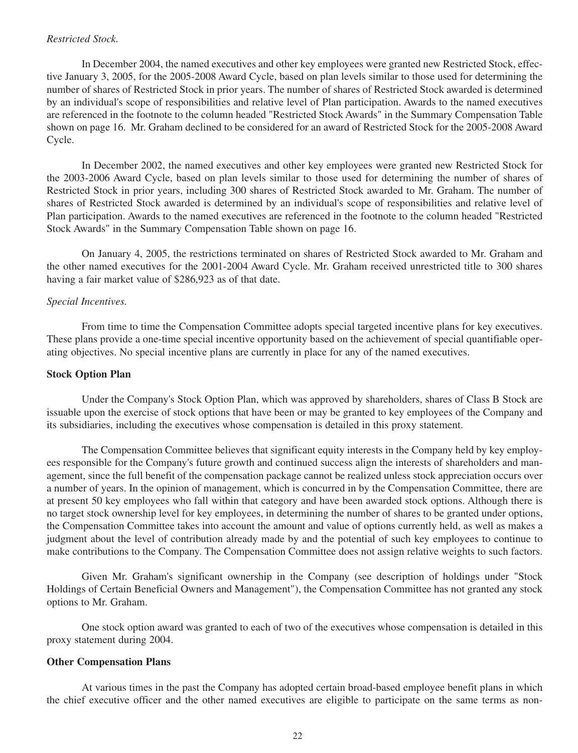#### *Restricted Stock.*

In December 2004, the named executives and other key employees were granted new Restricted Stock, effective January 3, 2005, for the 2005-2008 Award Cycle, based on plan levels similar to those used for determining the number of shares of Restricted Stock in prior years. The number of shares of Restricted Stock awarded is determined by an individual's scope of responsibilities and relative level of Plan participation. Awards to the named executives are referenced in the footnote to the column headed "Restricted Stock Awards" in the Summary Compensation Table shown on page 16. Mr. Graham declined to be considered for an award of Restricted Stock for the 2005-2008 Award Cycle.

In December 2002, the named executives and other key employees were granted new Restricted Stock for the 2003-2006 Award Cycle, based on plan levels similar to those used for determining the number of shares of Restricted Stock in prior years, including 300 shares of Restricted Stock awarded to Mr. Graham. The number of shares of Restricted Stock awarded is determined by an individual's scope of responsibilities and relative level of Plan participation. Awards to the named executives are referenced in the footnote to the column headed "Restricted Stock Awards" in the Summary Compensation Table shown on page 16.

On January 4, 2005, the restrictions terminated on shares of Restricted Stock awarded to Mr. Graham and the other named executives for the 2001-2004 Award Cycle. Mr. Graham received unrestricted title to 300 shares having a fair market value of \$286,923 as of that date.

# *Special Incentives.*

From time to time the Compensation Committee adopts special targeted incentive plans for key executives. These plans provide a one-time special incentive opportunity based on the achievement of special quantifiable operating objectives. No special incentive plans are currently in place for any of the named executives.

### **Stock Option Plan**

Under the Company's Stock Option Plan, which was approved by shareholders, shares of Class B Stock are issuable upon the exercise of stock options that have been or may be granted to key employees of the Company and its subsidiaries, including the executives whose compensation is detailed in this proxy statement.

The Compensation Committee believes that significant equity interests in the Company held by key employees responsible for the Company's future growth and continued success align the interests of shareholders and management, since the full benefit of the compensation package cannot be realized unless stock appreciation occurs over a number of years. In the opinion of management, which is concurred in by the Compensation Committee, there are at present 50 key employees who fall within that category and have been awarded stock options. Although there is no target stock ownership level for key employees, in determining the number of shares to be granted under options, the Compensation Committee takes into account the amount and value of options currently held, as well as makes a judgment about the level of contribution already made by and the potential of such key employees to continue to make contributions to the Company. The Compensation Committee does not assign relative weights to such factors.

Given Mr. Graham's significant ownership in the Company (see description of holdings under "Stock Holdings of Certain Beneficial Owners and Management"), the Compensation Committee has not granted any stock options to Mr. Graham.

One stock option award was granted to each of two of the executives whose compensation is detailed in this proxy statement during 2004.

# **Other Compensation Plans**

At various times in the past the Company has adopted certain broad-based employee benefit plans in which the chief executive officer and the other named executives are eligible to participate on the same terms as non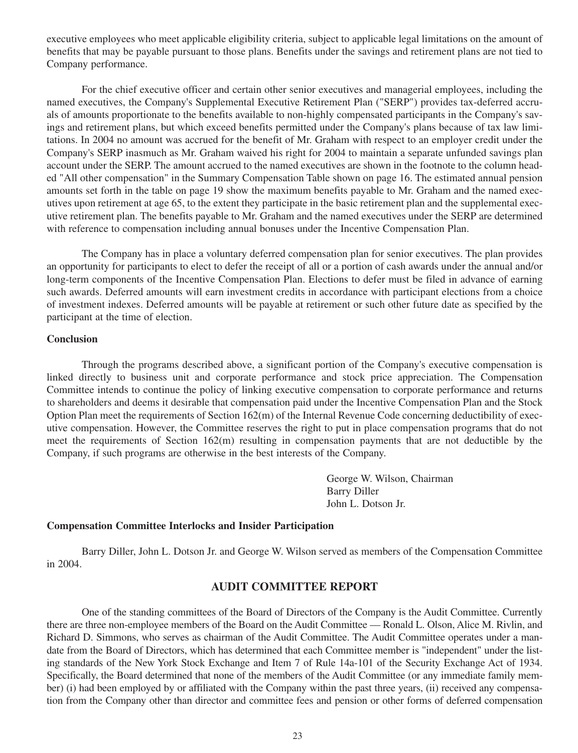executive employees who meet applicable eligibility criteria, subject to applicable legal limitations on the amount of benefits that may be payable pursuant to those plans. Benefits under the savings and retirement plans are not tied to Company performance.

For the chief executive officer and certain other senior executives and managerial employees, including the named executives, the Company's Supplemental Executive Retirement Plan ("SERP") provides tax-deferred accruals of amounts proportionate to the benefits available to non-highly compensated participants in the Company's savings and retirement plans, but which exceed benefits permitted under the Company's plans because of tax law limitations. In 2004 no amount was accrued for the benefit of Mr. Graham with respect to an employer credit under the Company's SERP inasmuch as Mr. Graham waived his right for 2004 to maintain a separate unfunded savings plan account under the SERP. The amount accrued to the named executives are shown in the footnote to the column headed "All other compensation" in the Summary Compensation Table shown on page 16. The estimated annual pension amounts set forth in the table on page 19 show the maximum benefits payable to Mr. Graham and the named executives upon retirement at age 65, to the extent they participate in the basic retirement plan and the supplemental executive retirement plan. The benefits payable to Mr. Graham and the named executives under the SERP are determined with reference to compensation including annual bonuses under the Incentive Compensation Plan.

The Company has in place a voluntary deferred compensation plan for senior executives. The plan provides an opportunity for participants to elect to defer the receipt of all or a portion of cash awards under the annual and/or long-term components of the Incentive Compensation Plan. Elections to defer must be filed in advance of earning such awards. Deferred amounts will earn investment credits in accordance with participant elections from a choice of investment indexes. Deferred amounts will be payable at retirement or such other future date as specified by the participant at the time of election.

#### **Conclusion**

Through the programs described above, a significant portion of the Company's executive compensation is linked directly to business unit and corporate performance and stock price appreciation. The Compensation Committee intends to continue the policy of linking executive compensation to corporate performance and returns to shareholders and deems it desirable that compensation paid under the Incentive Compensation Plan and the Stock Option Plan meet the requirements of Section  $162(m)$  of the Internal Revenue Code concerning deductibility of executive compensation. However, the Committee reserves the right to put in place compensation programs that do not meet the requirements of Section 162(m) resulting in compensation payments that are not deductible by the Company, if such programs are otherwise in the best interests of the Company.

> George W. Wilson, Chairman Barry Diller John L. Dotson Jr.

# **Compensation Committee Interlocks and Insider Participation**

Barry Diller, John L. Dotson Jr. and George W. Wilson served as members of the Compensation Committee in 2004.

# **AUDIT COMMITTEE REPORT**

One of the standing committees of the Board of Directors of the Company is the Audit Committee. Currently there are three non-employee members of the Board on the Audit Committee — Ronald L. Olson, Alice M. Rivlin, and Richard D. Simmons, who serves as chairman of the Audit Committee. The Audit Committee operates under a mandate from the Board of Directors, which has determined that each Committee member is "independent" under the listing standards of the New York Stock Exchange and Item 7 of Rule 14a-101 of the Security Exchange Act of 1934. Specifically, the Board determined that none of the members of the Audit Committee (or any immediate family member) (i) had been employed by or affiliated with the Company within the past three years, (ii) received any compensation from the Company other than director and committee fees and pension or other forms of deferred compensation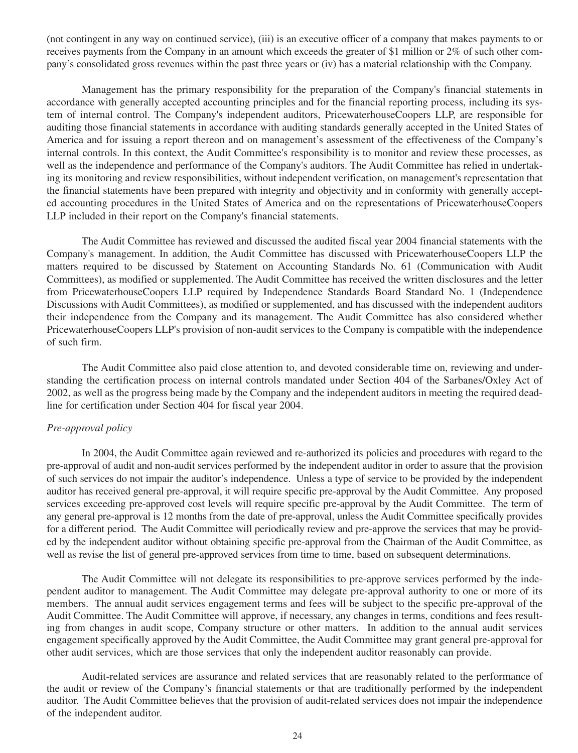(not contingent in any way on continued service), (iii) is an executive officer of a company that makes payments to or receives payments from the Company in an amount which exceeds the greater of \$1 million or 2% of such other company's consolidated gross revenues within the past three years or (iv) has a material relationship with the Company.

Management has the primary responsibility for the preparation of the Company's financial statements in accordance with generally accepted accounting principles and for the financial reporting process, including its system of internal control. The Company's independent auditors, PricewaterhouseCoopers LLP, are responsible for auditing those financial statements in accordance with auditing standards generally accepted in the United States of America and for issuing a report thereon and on management's assessment of the effectiveness of the Company's internal controls. In this context, the Audit Committee's responsibility is to monitor and review these processes, as well as the independence and performance of the Company's auditors. The Audit Committee has relied in undertaking its monitoring and review responsibilities, without independent verification, on management's representation that the financial statements have been prepared with integrity and objectivity and in conformity with generally accepted accounting procedures in the United States of America and on the representations of PricewaterhouseCoopers LLP included in their report on the Company's financial statements.

The Audit Committee has reviewed and discussed the audited fiscal year 2004 financial statements with the Company's management. In addition, the Audit Committee has discussed with PricewaterhouseCoopers LLP the matters required to be discussed by Statement on Accounting Standards No. 61 (Communication with Audit Committees), as modified or supplemented. The Audit Committee has received the written disclosures and the letter from PricewaterhouseCoopers LLP required by Independence Standards Board Standard No. 1 (Independence Discussions with Audit Committees), as modified or supplemented, and has discussed with the independent auditors their independence from the Company and its management. The Audit Committee has also considered whether PricewaterhouseCoopers LLP's provision of non-audit services to the Company is compatible with the independence of such firm.

The Audit Committee also paid close attention to, and devoted considerable time on, reviewing and understanding the certification process on internal controls mandated under Section 404 of the Sarbanes/Oxley Act of 2002, as well as the progress being made by the Company and the independent auditors in meeting the required deadline for certification under Section 404 for fiscal year 2004.

#### *Pre-approval policy*

In 2004, the Audit Committee again reviewed and re-authorized its policies and procedures with regard to the pre-approval of audit and non-audit services performed by the independent auditor in order to assure that the provision of such services do not impair the auditor's independence. Unless a type of service to be provided by the independent auditor has received general pre-approval, it will require specific pre-approval by the Audit Committee. Any proposed services exceeding pre-approved cost levels will require specific pre-approval by the Audit Committee. The term of any general pre-approval is 12 months from the date of pre-approval, unless the Audit Committee specifically provides for a different period. The Audit Committee will periodically review and pre-approve the services that may be provided by the independent auditor without obtaining specific pre-approval from the Chairman of the Audit Committee, as well as revise the list of general pre-approved services from time to time, based on subsequent determinations.

The Audit Committee will not delegate its responsibilities to pre-approve services performed by the independent auditor to management. The Audit Committee may delegate pre-approval authority to one or more of its members. The annual audit services engagement terms and fees will be subject to the specific pre-approval of the Audit Committee. The Audit Committee will approve, if necessary, any changes in terms, conditions and fees resulting from changes in audit scope, Company structure or other matters. In addition to the annual audit services engagement specifically approved by the Audit Committee, the Audit Committee may grant general pre-approval for other audit services, which are those services that only the independent auditor reasonably can provide.

Audit-related services are assurance and related services that are reasonably related to the performance of the audit or review of the Company's financial statements or that are traditionally performed by the independent auditor. The Audit Committee believes that the provision of audit-related services does not impair the independence of the independent auditor.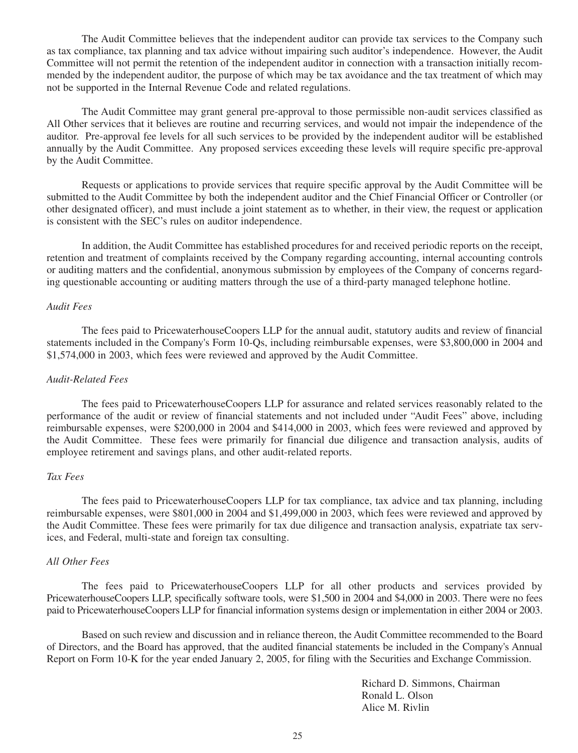The Audit Committee believes that the independent auditor can provide tax services to the Company such as tax compliance, tax planning and tax advice without impairing such auditor's independence. However, the Audit Committee will not permit the retention of the independent auditor in connection with a transaction initially recommended by the independent auditor, the purpose of which may be tax avoidance and the tax treatment of which may not be supported in the Internal Revenue Code and related regulations.

The Audit Committee may grant general pre-approval to those permissible non-audit services classified as All Other services that it believes are routine and recurring services, and would not impair the independence of the auditor. Pre-approval fee levels for all such services to be provided by the independent auditor will be established annually by the Audit Committee. Any proposed services exceeding these levels will require specific pre-approval by the Audit Committee.

Requests or applications to provide services that require specific approval by the Audit Committee will be submitted to the Audit Committee by both the independent auditor and the Chief Financial Officer or Controller (or other designated officer), and must include a joint statement as to whether, in their view, the request or application is consistent with the SEC's rules on auditor independence.

In addition, the Audit Committee has established procedures for and received periodic reports on the receipt, retention and treatment of complaints received by the Company regarding accounting, internal accounting controls or auditing matters and the confidential, anonymous submission by employees of the Company of concerns regarding questionable accounting or auditing matters through the use of a third-party managed telephone hotline.

#### *Audit Fees*

The fees paid to PricewaterhouseCoopers LLP for the annual audit, statutory audits and review of financial statements included in the Company's Form 10-Qs, including reimbursable expenses, were \$3,800,000 in 2004 and \$1,574,000 in 2003, which fees were reviewed and approved by the Audit Committee.

#### *Audit-Related Fees*

The fees paid to PricewaterhouseCoopers LLP for assurance and related services reasonably related to the performance of the audit or review of financial statements and not included under "Audit Fees" above, including reimbursable expenses, were \$200,000 in 2004 and \$414,000 in 2003, which fees were reviewed and approved by the Audit Committee. These fees were primarily for financial due diligence and transaction analysis, audits of employee retirement and savings plans, and other audit-related reports.

### *Tax Fees*

The fees paid to PricewaterhouseCoopers LLP for tax compliance, tax advice and tax planning, including reimbursable expenses, were \$801,000 in 2004 and \$1,499,000 in 2003, which fees were reviewed and approved by the Audit Committee. These fees were primarily for tax due diligence and transaction analysis, expatriate tax services, and Federal, multi-state and foreign tax consulting.

#### *All Other Fees*

The fees paid to PricewaterhouseCoopers LLP for all other products and services provided by PricewaterhouseCoopers LLP, specifically software tools, were \$1,500 in 2004 and \$4,000 in 2003. There were no fees paid to PricewaterhouseCoopers LLP for financial information systems design or implementation in either 2004 or 2003.

Based on such review and discussion and in reliance thereon, the Audit Committee recommended to the Board of Directors, and the Board has approved, that the audited financial statements be included in the Company's Annual Report on Form 10-K for the year ended January 2, 2005, for filing with the Securities and Exchange Commission.

> Richard D. Simmons, Chairman Ronald L. Olson Alice M. Rivlin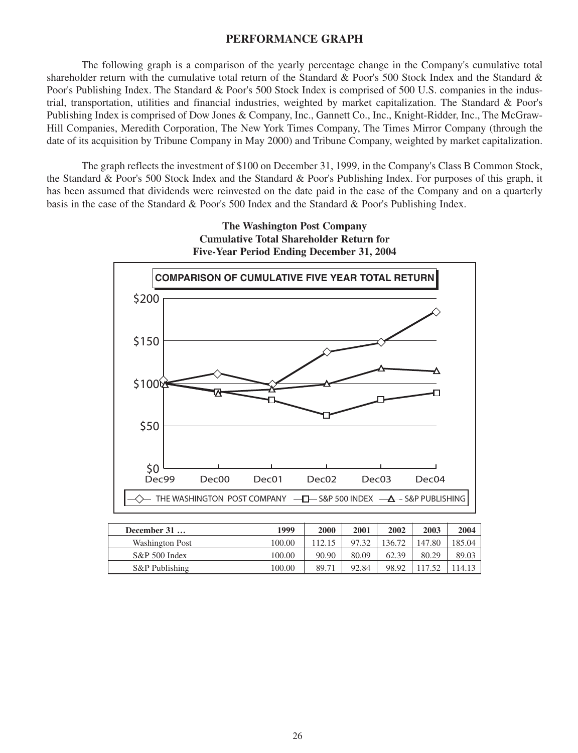# **PERFORMANCE GRAPH**

The following graph is a comparison of the yearly percentage change in the Company's cumulative total shareholder return with the cumulative total return of the Standard & Poor's 500 Stock Index and the Standard & Poor's Publishing Index. The Standard & Poor's 500 Stock Index is comprised of 500 U.S. companies in the industrial, transportation, utilities and financial industries, weighted by market capitalization. The Standard & Poor's Publishing Index is comprised of Dow Jones & Company, Inc., Gannett Co., Inc., Knight-Ridder, Inc., The McGraw-Hill Companies, Meredith Corporation, The New York Times Company, The Times Mirror Company (through the date of its acquisition by Tribune Company in May 2000) and Tribune Company, weighted by market capitalization.

The graph reflects the investment of \$100 on December 31, 1999, in the Company's Class B Common Stock, the Standard & Poor's 500 Stock Index and the Standard & Poor's Publishing Index. For purposes of this graph, it has been assumed that dividends were reinvested on the date paid in the case of the Company and on a quarterly basis in the case of the Standard & Poor's 500 Index and the Standard & Poor's Publishing Index.



| December 31      | 1999   | 2000   | 2001  | 2002   | 2003   | 2004   |
|------------------|--------|--------|-------|--------|--------|--------|
| Washington Post  | 100.00 | 112.15 | 97.32 | 136.72 | 147.80 | 185.04 |
| $S\&P 500$ Index | 100.00 | 90.90  | 80.09 | 62.39  | 80.29  | 89.03  |
| S&P Publishing   | 100.00 | 89.71  | 92.84 | 98.92  |        | 114.13 |

26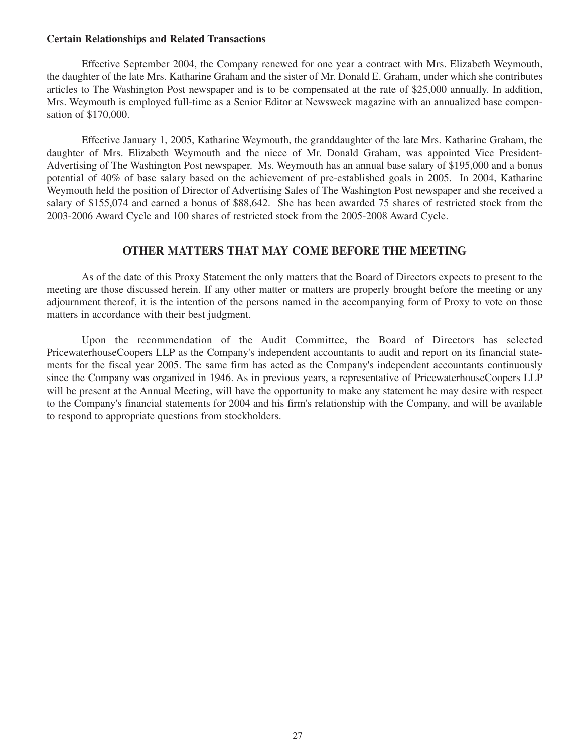#### **Certain Relationships and Related Transactions**

Effective September 2004, the Company renewed for one year a contract with Mrs. Elizabeth Weymouth, the daughter of the late Mrs. Katharine Graham and the sister of Mr. Donald E. Graham, under which she contributes articles to The Washington Post newspaper and is to be compensated at the rate of \$25,000 annually. In addition, Mrs. Weymouth is employed full-time as a Senior Editor at Newsweek magazine with an annualized base compensation of \$170,000.

Effective January 1, 2005, Katharine Weymouth, the granddaughter of the late Mrs. Katharine Graham, the daughter of Mrs. Elizabeth Weymouth and the niece of Mr. Donald Graham, was appointed Vice President-Advertising of The Washington Post newspaper. Ms. Weymouth has an annual base salary of \$195,000 and a bonus potential of 40% of base salary based on the achievement of pre-established goals in 2005. In 2004, Katharine Weymouth held the position of Director of Advertising Sales of The Washington Post newspaper and she received a salary of \$155,074 and earned a bonus of \$88,642. She has been awarded 75 shares of restricted stock from the 2003-2006 Award Cycle and 100 shares of restricted stock from the 2005-2008 Award Cycle.

# **OTHER MATTERS THAT MAY COME BEFORE THE MEETING**

As of the date of this Proxy Statement the only matters that the Board of Directors expects to present to the meeting are those discussed herein. If any other matter or matters are properly brought before the meeting or any adjournment thereof, it is the intention of the persons named in the accompanying form of Proxy to vote on those matters in accordance with their best judgment.

Upon the recommendation of the Audit Committee, the Board of Directors has selected PricewaterhouseCoopers LLP as the Company's independent accountants to audit and report on its financial statements for the fiscal year 2005. The same firm has acted as the Company's independent accountants continuously since the Company was organized in 1946. As in previous years, a representative of PricewaterhouseCoopers LLP will be present at the Annual Meeting, will have the opportunity to make any statement he may desire with respect to the Company's financial statements for 2004 and his firm's relationship with the Company, and will be available to respond to appropriate questions from stockholders.